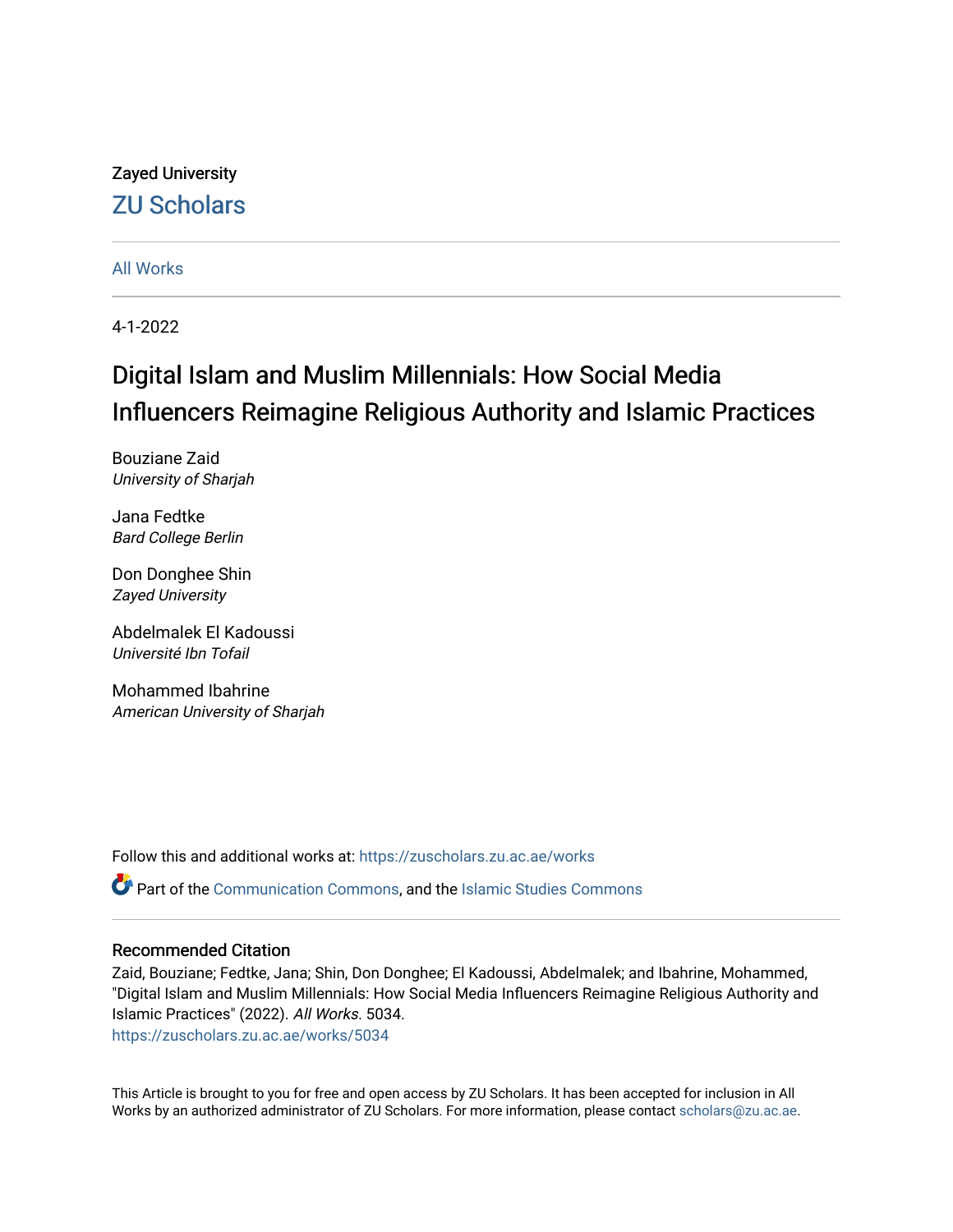## Zayed University [ZU Scholars](https://zuscholars.zu.ac.ae/)

## [All Works](https://zuscholars.zu.ac.ae/works)

4-1-2022

# Digital Islam and Muslim Millennials: How Social Media Influencers Reimagine Religious Authority and Islamic Practices

Bouziane Zaid University of Sharjah

Jana Fedtke Bard College Berlin

Don Donghee Shin Zayed University

Abdelmalek El Kadoussi Université Ibn Tofail

Mohammed Ibahrine American University of Sharjah

Follow this and additional works at: [https://zuscholars.zu.ac.ae/works](https://zuscholars.zu.ac.ae/works?utm_source=zuscholars.zu.ac.ae%2Fworks%2F5034&utm_medium=PDF&utm_campaign=PDFCoverPages)

Part of the [Communication Commons,](http://network.bepress.com/hgg/discipline/325?utm_source=zuscholars.zu.ac.ae%2Fworks%2F5034&utm_medium=PDF&utm_campaign=PDFCoverPages) and the [Islamic Studies Commons](http://network.bepress.com/hgg/discipline/1346?utm_source=zuscholars.zu.ac.ae%2Fworks%2F5034&utm_medium=PDF&utm_campaign=PDFCoverPages)

## Recommended Citation

Zaid, Bouziane; Fedtke, Jana; Shin, Don Donghee; El Kadoussi, Abdelmalek; and Ibahrine, Mohammed, "Digital Islam and Muslim Millennials: How Social Media Influencers Reimagine Religious Authority and Islamic Practices" (2022). All Works. 5034.

[https://zuscholars.zu.ac.ae/works/5034](https://zuscholars.zu.ac.ae/works/5034?utm_source=zuscholars.zu.ac.ae%2Fworks%2F5034&utm_medium=PDF&utm_campaign=PDFCoverPages)

This Article is brought to you for free and open access by ZU Scholars. It has been accepted for inclusion in All Works by an authorized administrator of ZU Scholars. For more information, please contact [scholars@zu.ac.ae](mailto:scholars@zu.ac.ae).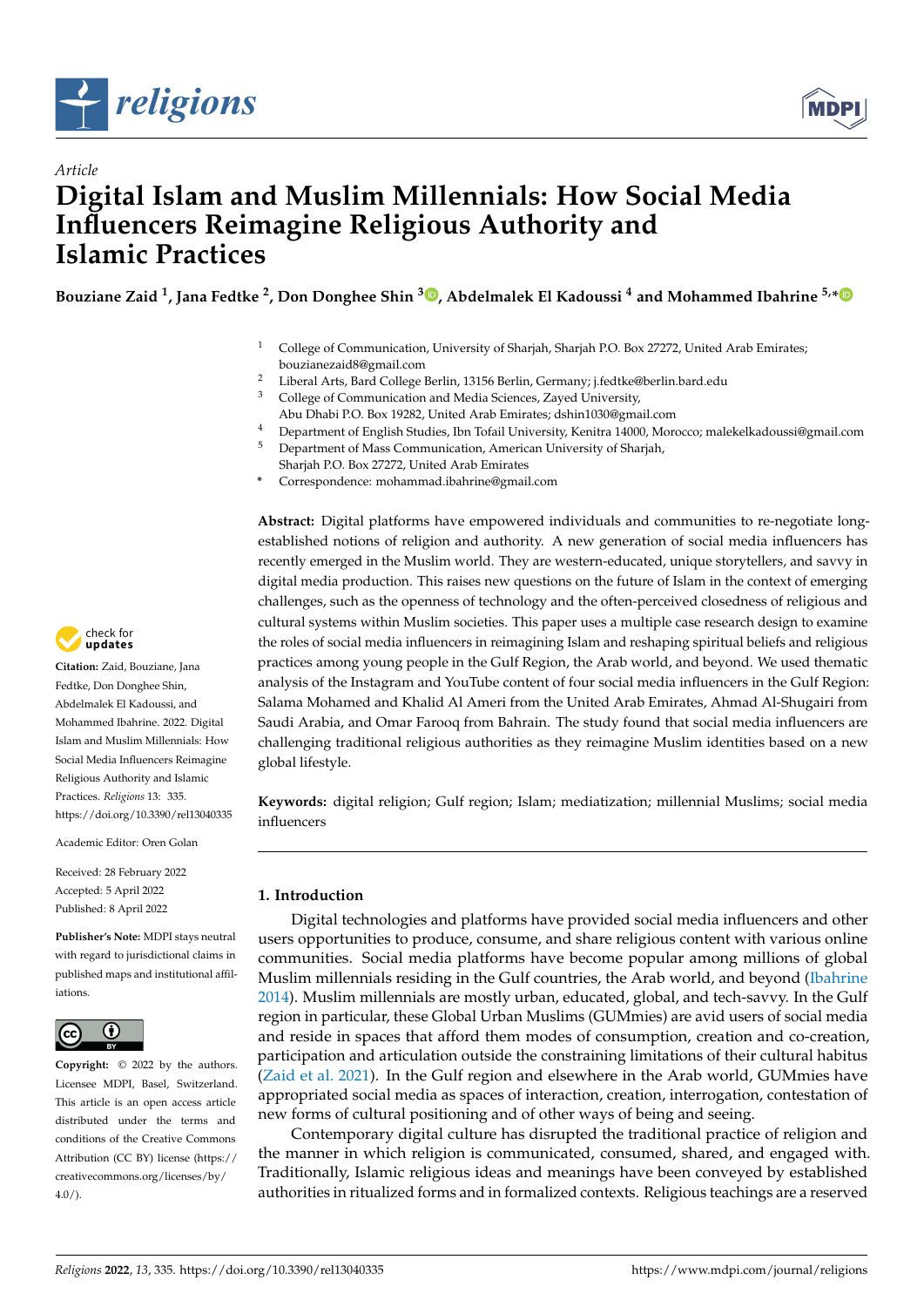

*Article*



## **Digital Islam and Muslim Millennials: How Social Media Influencers Reimagine Religious Authority and Islamic Practices**

**Bouziane Zaid <sup>1</sup> , Jana Fedtke <sup>2</sup> , Don Donghee Shin <sup>3</sup> [,](https://orcid.org/0000-0002-5439-4493) Abdelmalek El Kadoussi <sup>4</sup> and Mohammed Ibahrine 5,[\\*](https://orcid.org/0000-0002-2782-3029)**

- <sup>1</sup> College of Communication, University of Sharjah, Sharjah P.O. Box 27272, United Arab Emirates; bouzianezaid8@gmail.com
- <sup>2</sup> Liberal Arts, Bard College Berlin, 13156 Berlin, Germany; j.fedtke@berlin.bard.edu
- <sup>3</sup> College of Communication and Media Sciences, Zayed University,
- Abu Dhabi P.O. Box 19282, United Arab Emirates; dshin1030@gmail.com
- <sup>4</sup> Department of English Studies, Ibn Tofail University, Kenitra 14000, Morocco; malekelkadoussi@gmail.com <sup>5</sup> Department of Mass Communication, American University of Sharjah,
- Sharjah P.O. Box 27272, United Arab Emirates **\*** Correspondence: mohammad.ibahrine@gmail.com

**Abstract:** Digital platforms have empowered individuals and communities to re-negotiate longestablished notions of religion and authority. A new generation of social media influencers has recently emerged in the Muslim world. They are western-educated, unique storytellers, and savvy in digital media production. This raises new questions on the future of Islam in the context of emerging challenges, such as the openness of technology and the often-perceived closedness of religious and cultural systems within Muslim societies. This paper uses a multiple case research design to examine the roles of social media influencers in reimagining Islam and reshaping spiritual beliefs and religious practices among young people in the Gulf Region, the Arab world, and beyond. We used thematic analysis of the Instagram and YouTube content of four social media influencers in the Gulf Region: Salama Mohamed and Khalid Al Ameri from the United Arab Emirates, Ahmad Al-Shugairi from Saudi Arabia, and Omar Farooq from Bahrain. The study found that social media influencers are challenging traditional religious authorities as they reimagine Muslim identities based on a new global lifestyle.

**Keywords:** digital religion; Gulf region; Islam; mediatization; millennial Muslims; social media influencers

## **1. Introduction**

Digital technologies and platforms have provided social media influencers and other users opportunities to produce, consume, and share religious content with various online communities. Social media platforms have become popular among millions of global Muslim millennials residing in the Gulf countries, the Arab world, and beyond [\(Ibahrine](#page-14-0) [2014\)](#page-14-0). Muslim millennials are mostly urban, educated, global, and tech-savvy. In the Gulf region in particular, these Global Urban Muslims (GUMmies) are avid users of social media and reside in spaces that afford them modes of consumption, creation and co-creation, participation and articulation outside the constraining limitations of their cultural habitus [\(Zaid et al.](#page-15-0) [2021\)](#page-15-0). In the Gulf region and elsewhere in the Arab world, GUMmies have appropriated social media as spaces of interaction, creation, interrogation, contestation of new forms of cultural positioning and of other ways of being and seeing.

Contemporary digital culture has disrupted the traditional practice of religion and the manner in which religion is communicated, consumed, shared, and engaged with. Traditionally, Islamic religious ideas and meanings have been conveyed by established authorities in ritualized forms and in formalized contexts. Religious teachings are a reserved



**Citation:** Zaid, Bouziane, Jana Fedtke, Don Donghee Shin, Abdelmalek El Kadoussi, and Mohammed Ibahrine. 2022. Digital Islam and Muslim Millennials: How Social Media Influencers Reimagine Religious Authority and Islamic Practices. *Religions* 13: 335. <https://doi.org/10.3390/rel13040335>

Academic Editor: Oren Golan

Received: 28 February 2022 Accepted: 5 April 2022 Published: 8 April 2022

**Publisher's Note:** MDPI stays neutral with regard to jurisdictional claims in published maps and institutional affiliations.



**Copyright:** © 2022 by the authors. Licensee MDPI, Basel, Switzerland. This article is an open access article distributed under the terms and conditions of the Creative Commons Attribution (CC BY) license [\(https://](https://creativecommons.org/licenses/by/4.0/) [creativecommons.org/licenses/by/](https://creativecommons.org/licenses/by/4.0/)  $4.0/$ ).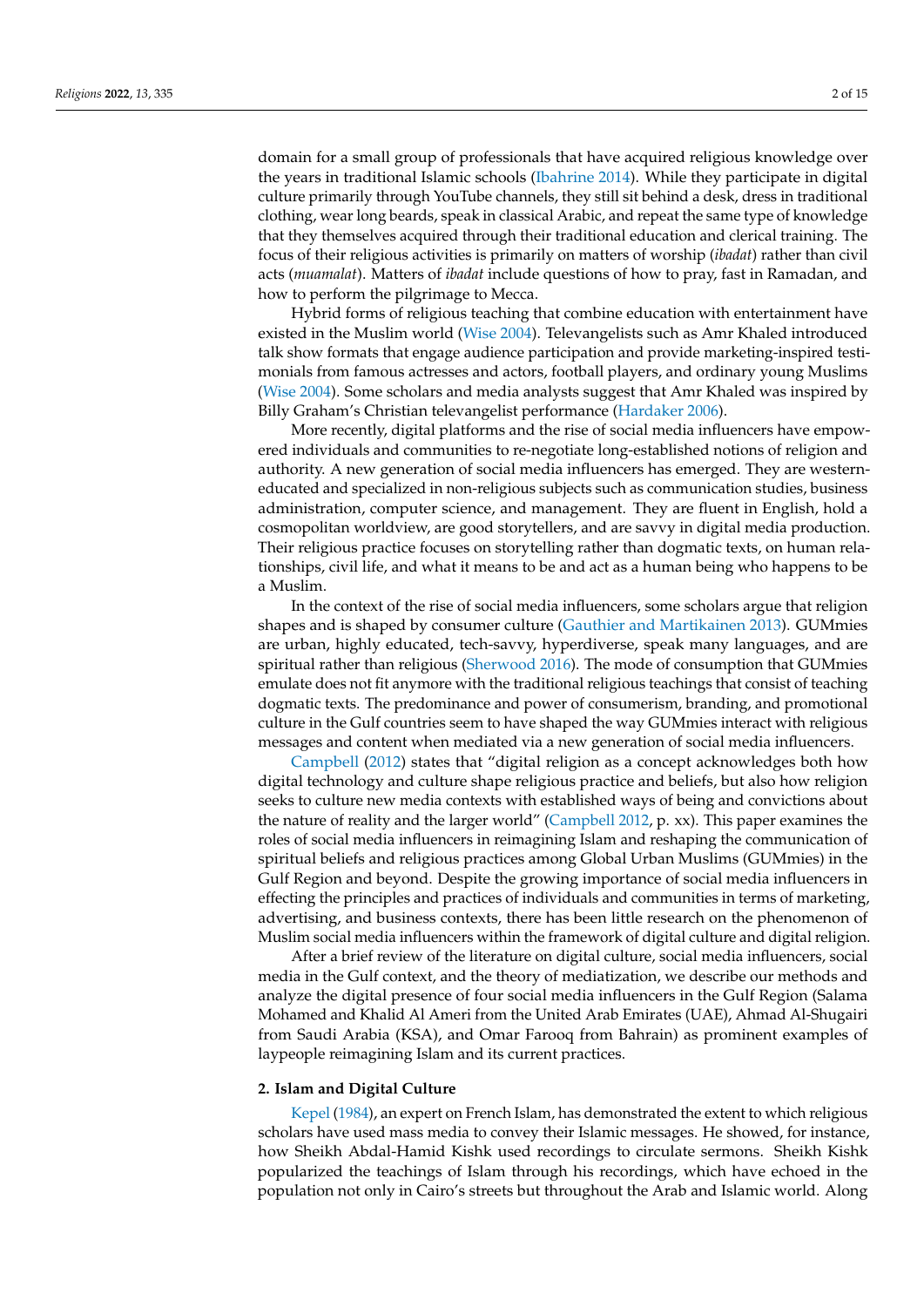domain for a small group of professionals that have acquired religious knowledge over the years in traditional Islamic schools [\(Ibahrine](#page-14-0) [2014\)](#page-14-0). While they participate in digital culture primarily through YouTube channels, they still sit behind a desk, dress in traditional clothing, wear long beards, speak in classical Arabic, and repeat the same type of knowledge that they themselves acquired through their traditional education and clerical training. The focus of their religious activities is primarily on matters of worship (*ibadat*) rather than civil acts (*muamalat*). Matters of *ibadat* include questions of how to pray, fast in Ramadan, and how to perform the pilgrimage to Mecca.

Hybrid forms of religious teaching that combine education with entertainment have existed in the Muslim world [\(Wise](#page-15-1) [2004\)](#page-15-1). Televangelists such as Amr Khaled introduced talk show formats that engage audience participation and provide marketing-inspired testimonials from famous actresses and actors, football players, and ordinary young Muslims [\(Wise](#page-15-1) [2004\)](#page-15-1). Some scholars and media analysts suggest that Amr Khaled was inspired by Billy Graham's Christian televangelist performance [\(Hardaker](#page-14-1) [2006\)](#page-14-1).

More recently, digital platforms and the rise of social media influencers have empowered individuals and communities to re-negotiate long-established notions of religion and authority. A new generation of social media influencers has emerged. They are westerneducated and specialized in non-religious subjects such as communication studies, business administration, computer science, and management. They are fluent in English, hold a cosmopolitan worldview, are good storytellers, and are savvy in digital media production. Their religious practice focuses on storytelling rather than dogmatic texts, on human relationships, civil life, and what it means to be and act as a human being who happens to be a Muslim.

In the context of the rise of social media influencers, some scholars argue that religion shapes and is shaped by consumer culture [\(Gauthier and Martikainen](#page-13-0) [2013\)](#page-13-0). GUMmies are urban, highly educated, tech-savvy, hyperdiverse, speak many languages, and are spiritual rather than religious [\(Sherwood](#page-14-2) [2016\)](#page-14-2). The mode of consumption that GUMmies emulate does not fit anymore with the traditional religious teachings that consist of teaching dogmatic texts. The predominance and power of consumerism, branding, and promotional culture in the Gulf countries seem to have shaped the way GUMmies interact with religious messages and content when mediated via a new generation of social media influencers.

[Campbell](#page-13-1) [\(2012\)](#page-13-1) states that "digital religion as a concept acknowledges both how digital technology and culture shape religious practice and beliefs, but also how religion seeks to culture new media contexts with established ways of being and convictions about the nature of reality and the larger world" [\(Campbell](#page-13-1) [2012,](#page-13-1) p. xx). This paper examines the roles of social media influencers in reimagining Islam and reshaping the communication of spiritual beliefs and religious practices among Global Urban Muslims (GUMmies) in the Gulf Region and beyond. Despite the growing importance of social media influencers in effecting the principles and practices of individuals and communities in terms of marketing, advertising, and business contexts, there has been little research on the phenomenon of Muslim social media influencers within the framework of digital culture and digital religion.

After a brief review of the literature on digital culture, social media influencers, social media in the Gulf context, and the theory of mediatization, we describe our methods and analyze the digital presence of four social media influencers in the Gulf Region (Salama Mohamed and Khalid Al Ameri from the United Arab Emirates (UAE), Ahmad Al-Shugairi from Saudi Arabia (KSA), and Omar Farooq from Bahrain) as prominent examples of laypeople reimagining Islam and its current practices.

### **2. Islam and Digital Culture**

[Kepel](#page-14-3) [\(1984\)](#page-14-3), an expert on French Islam, has demonstrated the extent to which religious scholars have used mass media to convey their Islamic messages. He showed, for instance, how Sheikh Abdal-Hamid Kishk used recordings to circulate sermons. Sheikh Kishk popularized the teachings of Islam through his recordings, which have echoed in the population not only in Cairo's streets but throughout the Arab and Islamic world. Along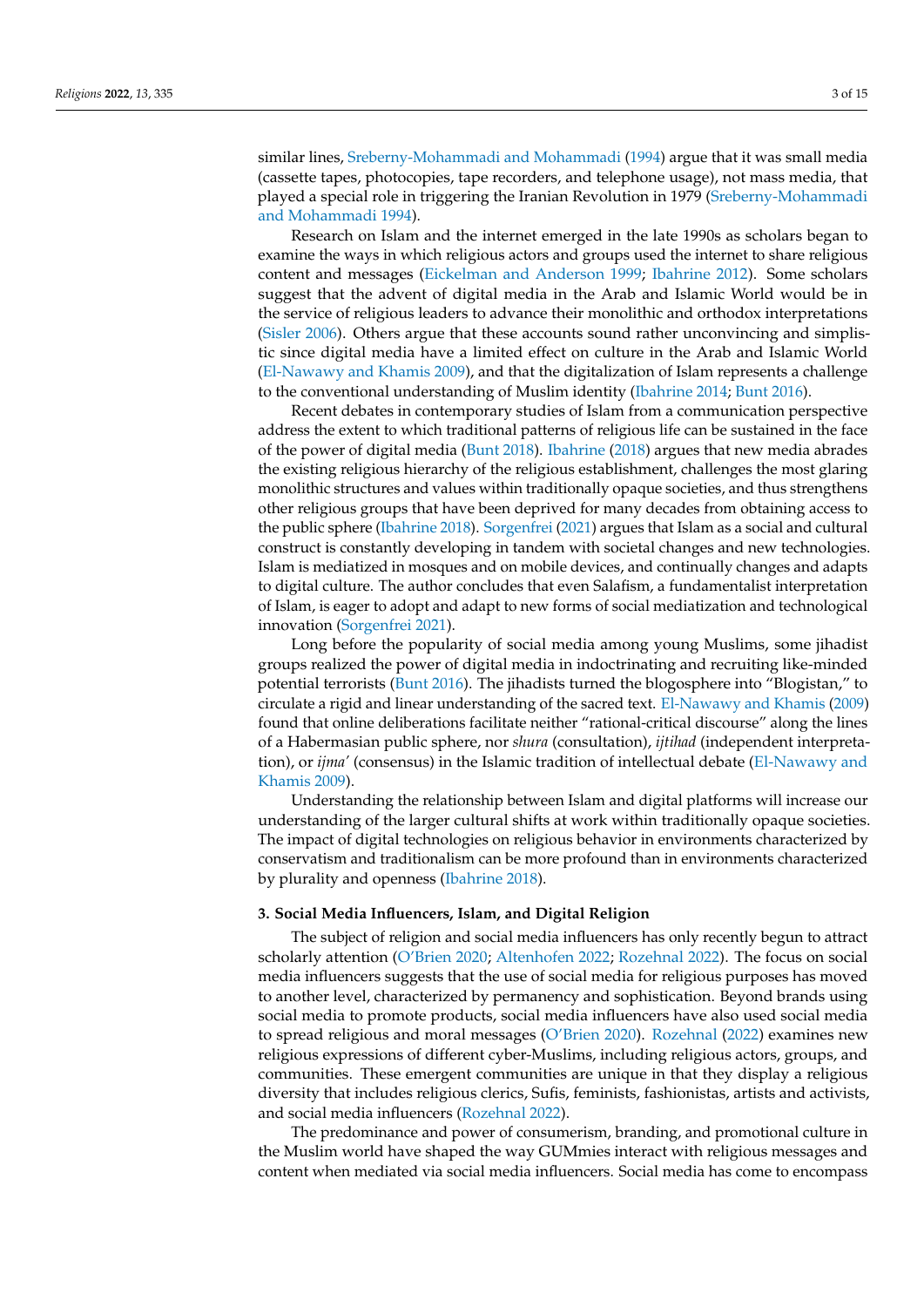similar lines, [Sreberny-Mohammadi and Mohammadi](#page-15-2) [\(1994\)](#page-15-2) argue that it was small media (cassette tapes, photocopies, tape recorders, and telephone usage), not mass media, that played a special role in triggering the Iranian Revolution in 1979 [\(Sreberny-Mohammadi](#page-15-2) [and Mohammadi](#page-15-2) [1994\)](#page-15-2).

Research on Islam and the internet emerged in the late 1990s as scholars began to examine the ways in which religious actors and groups used the internet to share religious content and messages [\(Eickelman and Anderson](#page-13-2) [1999;](#page-13-2) [Ibahrine](#page-14-4) [2012\)](#page-14-4). Some scholars suggest that the advent of digital media in the Arab and Islamic World would be in the service of religious leaders to advance their monolithic and orthodox interpretations [\(Sisler](#page-14-5) [2006\)](#page-14-5). Others argue that these accounts sound rather unconvincing and simplistic since digital media have a limited effect on culture in the Arab and Islamic World [\(El-Nawawy and Khamis](#page-13-3) [2009\)](#page-13-3), and that the digitalization of Islam represents a challenge to the conventional understanding of Muslim identity [\(Ibahrine](#page-14-0) [2014;](#page-14-0) [Bunt](#page-12-0) [2016\)](#page-12-0).

Recent debates in contemporary studies of Islam from a communication perspective address the extent to which traditional patterns of religious life can be sustained in the face of the power of digital media [\(Bunt](#page-13-4) [2018\)](#page-13-4). [Ibahrine](#page-14-6) [\(2018\)](#page-14-6) argues that new media abrades the existing religious hierarchy of the religious establishment, challenges the most glaring monolithic structures and values within traditionally opaque societies, and thus strengthens other religious groups that have been deprived for many decades from obtaining access to the public sphere [\(Ibahrine](#page-14-6) [2018\)](#page-14-6). [Sorgenfrei](#page-15-3) [\(2021\)](#page-15-3) argues that Islam as a social and cultural construct is constantly developing in tandem with societal changes and new technologies. Islam is mediatized in mosques and on mobile devices, and continually changes and adapts to digital culture. The author concludes that even Salafism, a fundamentalist interpretation of Islam, is eager to adopt and adapt to new forms of social mediatization and technological innovation [\(Sorgenfrei](#page-15-3) [2021\)](#page-15-3).

Long before the popularity of social media among young Muslims, some jihadist groups realized the power of digital media in indoctrinating and recruiting like-minded potential terrorists [\(Bunt](#page-12-0) [2016\)](#page-12-0). The jihadists turned the blogosphere into "Blogistan," to circulate a rigid and linear understanding of the sacred text. [El-Nawawy and Khamis](#page-13-3) [\(2009\)](#page-13-3) found that online deliberations facilitate neither "rational-critical discourse" along the lines of a Habermasian public sphere, nor *shura* (consultation), *ijtihad* (independent interpretation), or *ijma'* (consensus) in the Islamic tradition of intellectual debate [\(El-Nawawy and](#page-13-3) [Khamis](#page-13-3) [2009\)](#page-13-3).

Understanding the relationship between Islam and digital platforms will increase our understanding of the larger cultural shifts at work within traditionally opaque societies. The impact of digital technologies on religious behavior in environments characterized by conservatism and traditionalism can be more profound than in environments characterized by plurality and openness [\(Ibahrine](#page-14-6) [2018\)](#page-14-6).

## **3. Social Media Influencers, Islam, and Digital Religion**

The subject of religion and social media influencers has only recently begun to attract scholarly attention [\(O'Brien](#page-14-7) [2020;](#page-14-7) [Altenhofen](#page-12-1) [2022;](#page-12-1) [Rozehnal](#page-14-8) [2022\)](#page-14-8). The focus on social media influencers suggests that the use of social media for religious purposes has moved to another level, characterized by permanency and sophistication. Beyond brands using social media to promote products, social media influencers have also used social media to spread religious and moral messages [\(O'Brien](#page-14-7) [2020\)](#page-14-7). [Rozehnal](#page-14-8) [\(2022\)](#page-14-8) examines new religious expressions of different cyber-Muslims, including religious actors, groups, and communities. These emergent communities are unique in that they display a religious diversity that includes religious clerics, Sufis, feminists, fashionistas, artists and activists, and social media influencers [\(Rozehnal](#page-14-8) [2022\)](#page-14-8).

The predominance and power of consumerism, branding, and promotional culture in the Muslim world have shaped the way GUMmies interact with religious messages and content when mediated via social media influencers. Social media has come to encompass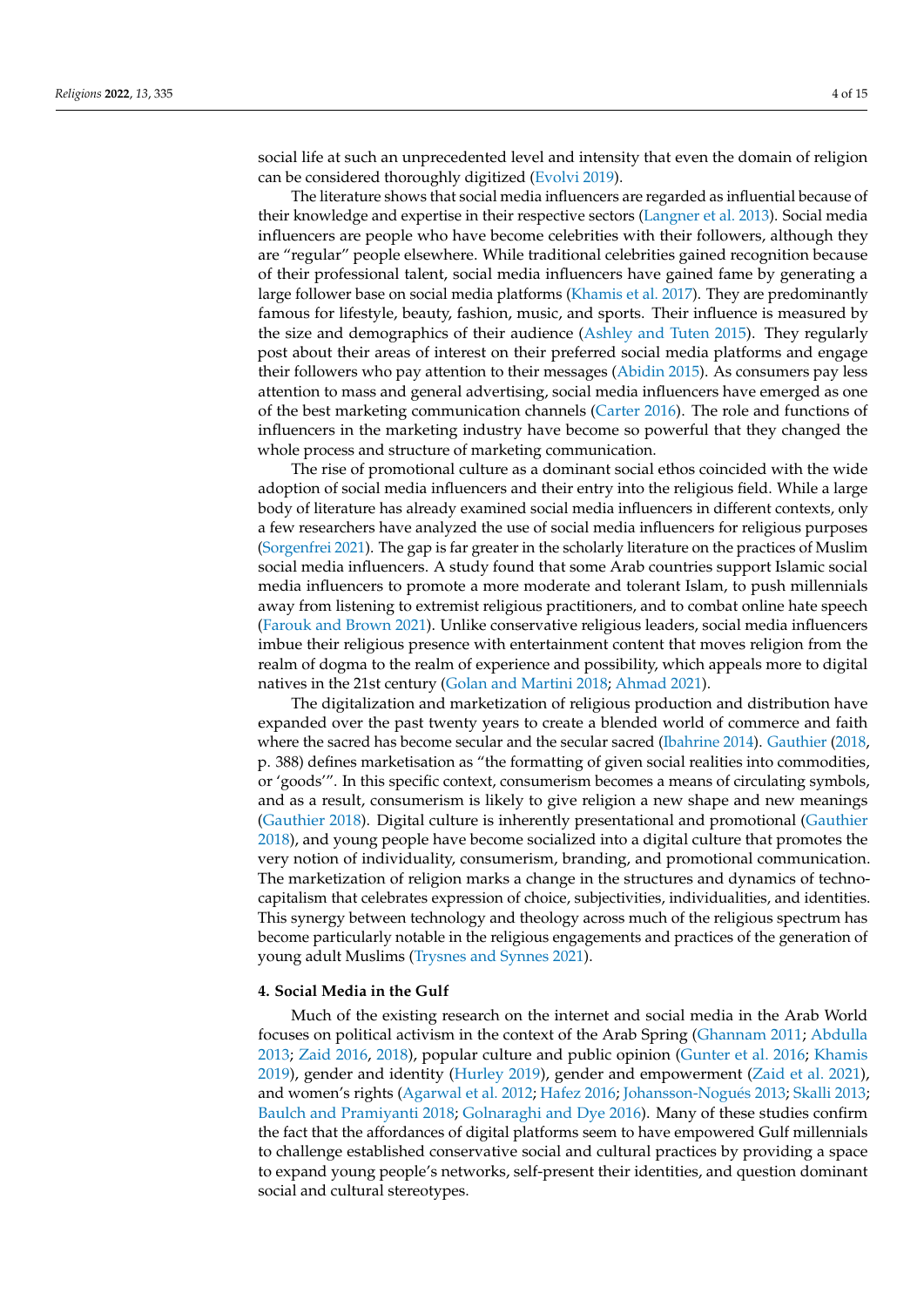social life at such an unprecedented level and intensity that even the domain of religion can be considered thoroughly digitized [\(Evolvi](#page-13-5) [2019\)](#page-13-5).

The literature shows that social media influencers are regarded as influential because of their knowledge and expertise in their respective sectors [\(Langner et al.](#page-14-9) [2013\)](#page-14-9). Social media influencers are people who have become celebrities with their followers, although they are "regular" people elsewhere. While traditional celebrities gained recognition because of their professional talent, social media influencers have gained fame by generating a large follower base on social media platforms [\(Khamis et al.](#page-14-10) [2017\)](#page-14-10). They are predominantly famous for lifestyle, beauty, fashion, music, and sports. Their influence is measured by the size and demographics of their audience [\(Ashley and Tuten](#page-12-2) [2015\)](#page-12-2). They regularly post about their areas of interest on their preferred social media platforms and engage their followers who pay attention to their messages [\(Abidin](#page-12-3) [2015\)](#page-12-3). As consumers pay less attention to mass and general advertising, social media influencers have emerged as one of the best marketing communication channels [\(Carter](#page-13-6) [2016\)](#page-13-6). The role and functions of influencers in the marketing industry have become so powerful that they changed the whole process and structure of marketing communication.

The rise of promotional culture as a dominant social ethos coincided with the wide adoption of social media influencers and their entry into the religious field. While a large body of literature has already examined social media influencers in different contexts, only a few researchers have analyzed the use of social media influencers for religious purposes [\(Sorgenfrei](#page-15-3) [2021\)](#page-15-3). The gap is far greater in the scholarly literature on the practices of Muslim social media influencers. A study found that some Arab countries support Islamic social media influencers to promote a more moderate and tolerant Islam, to push millennials away from listening to extremist religious practitioners, and to combat online hate speech [\(Farouk and Brown](#page-13-7) [2021\)](#page-13-7). Unlike conservative religious leaders, social media influencers imbue their religious presence with entertainment content that moves religion from the realm of dogma to the realm of experience and possibility, which appeals more to digital natives in the 21st century [\(Golan and Martini](#page-13-8) [2018;](#page-13-8) [Ahmad](#page-12-4) [2021\)](#page-12-4).

The digitalization and marketization of religious production and distribution have expanded over the past twenty years to create a blended world of commerce and faith where the sacred has become secular and the secular sacred [\(Ibahrine](#page-14-0) [2014\)](#page-14-0). [Gauthier](#page-13-9) [\(2018,](#page-13-9) p. 388) defines marketisation as "the formatting of given social realities into commodities, or 'goods'". In this specific context, consumerism becomes a means of circulating symbols, and as a result, consumerism is likely to give religion a new shape and new meanings [\(Gauthier](#page-13-9) [2018\)](#page-13-9). Digital culture is inherently presentational and promotional [\(Gauthier](#page-13-9) [2018\)](#page-13-9), and young people have become socialized into a digital culture that promotes the very notion of individuality, consumerism, branding, and promotional communication. The marketization of religion marks a change in the structures and dynamics of technocapitalism that celebrates expression of choice, subjectivities, individualities, and identities. This synergy between technology and theology across much of the religious spectrum has become particularly notable in the religious engagements and practices of the generation of young adult Muslims [\(Trysnes and Synnes](#page-15-4) [2021\)](#page-15-4).

## **4. Social Media in the Gulf**

Much of the existing research on the internet and social media in the Arab World focuses on political activism in the context of the Arab Spring [\(Ghannam](#page-13-10) [2011;](#page-13-10) [Abdulla](#page-12-5) [2013;](#page-12-5) [Zaid](#page-15-5) [2016,](#page-15-5) [2018\)](#page-15-6), popular culture and public opinion [\(Gunter et al.](#page-13-11) [2016;](#page-13-11) [Khamis](#page-14-11) [2019\)](#page-14-11), gender and identity [\(Hurley](#page-14-12) [2019\)](#page-14-12), gender and empowerment [\(Zaid et al.](#page-15-0) [2021\)](#page-15-0), and women's rights [\(Agarwal et al.](#page-12-6) [2012;](#page-12-6) [Hafez](#page-13-12) [2016;](#page-13-12) [Johansson-Nogu](#page-14-13)és [2013;](#page-14-13) [Skalli](#page-14-14) [2013;](#page-14-14) [Baulch and Pramiyanti](#page-12-7) [2018;](#page-12-7) [Golnaraghi and Dye](#page-13-13) [2016\)](#page-13-13). Many of these studies confirm the fact that the affordances of digital platforms seem to have empowered Gulf millennials to challenge established conservative social and cultural practices by providing a space to expand young people's networks, self-present their identities, and question dominant social and cultural stereotypes.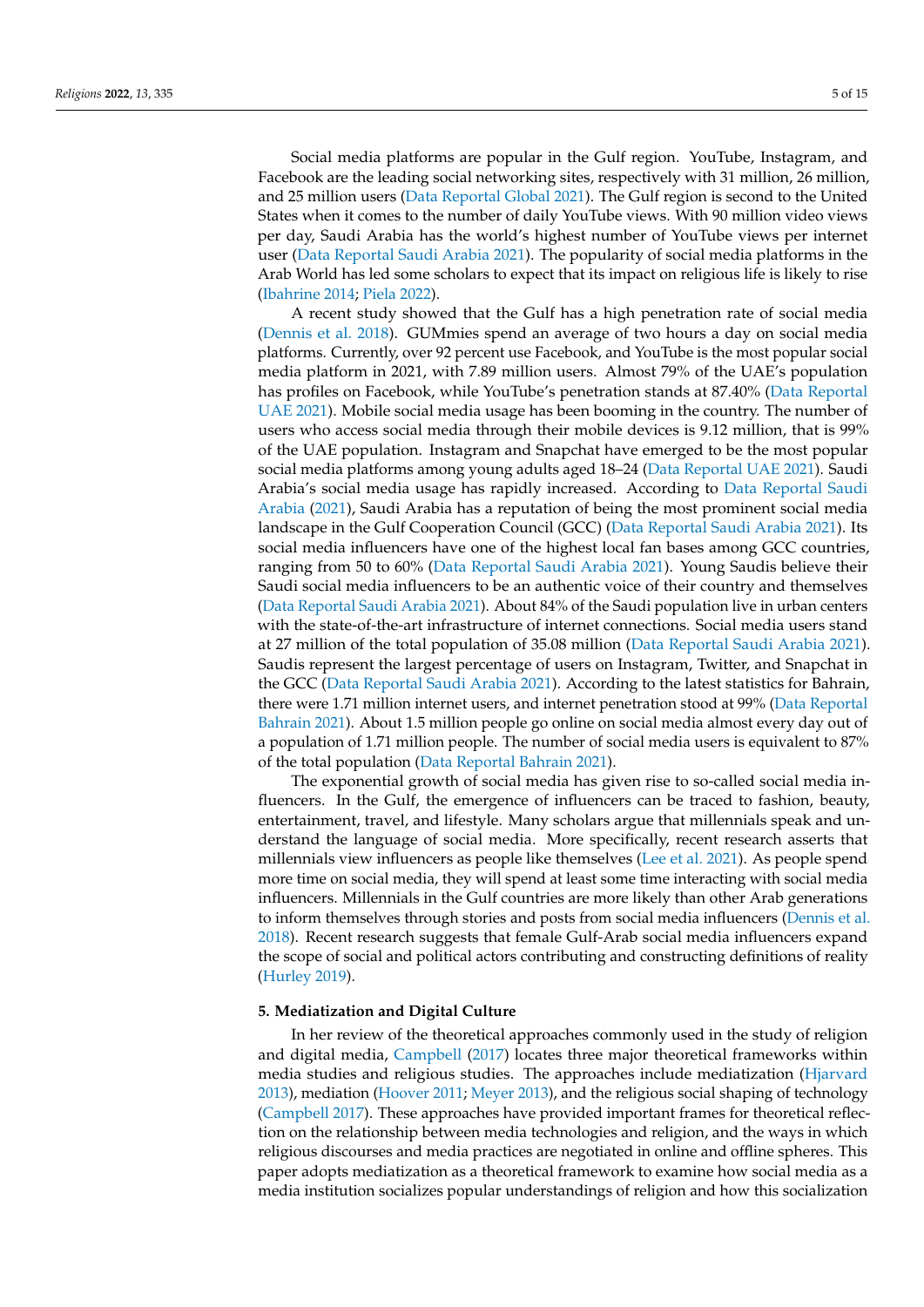Social media platforms are popular in the Gulf region. YouTube, Instagram, and Facebook are the leading social networking sites, respectively with 31 million, 26 million, and 25 million users [\(Data Reportal Global](#page-13-14) [2021\)](#page-13-14). The Gulf region is second to the United States when it comes to the number of daily YouTube views. With 90 million video views per day, Saudi Arabia has the world's highest number of YouTube views per internet user [\(Data Reportal Saudi Arabia](#page-13-15) [2021\)](#page-13-15). The popularity of social media platforms in the Arab World has led some scholars to expect that its impact on religious life is likely to rise [\(Ibahrine](#page-14-0) [2014;](#page-14-0) [Piela](#page-14-15) [2022\)](#page-14-15).

A recent study showed that the Gulf has a high penetration rate of social media [\(Dennis et al.](#page-13-16) [2018\)](#page-13-16). GUMmies spend an average of two hours a day on social media platforms. Currently, over 92 percent use Facebook, and YouTube is the most popular social media platform in 2021, with 7.89 million users. Almost 79% of the UAE's population has profiles on Facebook, while YouTube's penetration stands at 87.40% [\(Data Reportal](#page-13-17) [UAE](#page-13-17) [2021\)](#page-13-17). Mobile social media usage has been booming in the country. The number of users who access social media through their mobile devices is 9.12 million, that is 99% of the UAE population. Instagram and Snapchat have emerged to be the most popular social media platforms among young adults aged 18–24 [\(Data Reportal UAE](#page-13-17) [2021\)](#page-13-17). Saudi Arabia's social media usage has rapidly increased. According to [Data Reportal Saudi](#page-13-15) [Arabia](#page-13-15) [\(2021\)](#page-13-15), Saudi Arabia has a reputation of being the most prominent social media landscape in the Gulf Cooperation Council (GCC) [\(Data Reportal Saudi Arabia](#page-13-15) [2021\)](#page-13-15). Its social media influencers have one of the highest local fan bases among GCC countries, ranging from 50 to 60% [\(Data Reportal Saudi Arabia](#page-13-15) [2021\)](#page-13-15). Young Saudis believe their Saudi social media influencers to be an authentic voice of their country and themselves [\(Data Reportal Saudi Arabia](#page-13-15) [2021\)](#page-13-15). About 84% of the Saudi population live in urban centers with the state-of-the-art infrastructure of internet connections. Social media users stand at 27 million of the total population of 35.08 million [\(Data Reportal Saudi Arabia](#page-13-15) [2021\)](#page-13-15). Saudis represent the largest percentage of users on Instagram, Twitter, and Snapchat in the GCC [\(Data Reportal Saudi Arabia](#page-13-15) [2021\)](#page-13-15). According to the latest statistics for Bahrain, there were 1.71 million internet users, and internet penetration stood at 99% [\(Data Reportal](#page-13-18) [Bahrain](#page-13-18) [2021\)](#page-13-18). About 1.5 million people go online on social media almost every day out of a population of 1.71 million people. The number of social media users is equivalent to 87% of the total population [\(Data Reportal Bahrain](#page-13-18) [2021\)](#page-13-18).

The exponential growth of social media has given rise to so-called social media influencers. In the Gulf, the emergence of influencers can be traced to fashion, beauty, entertainment, travel, and lifestyle. Many scholars argue that millennials speak and understand the language of social media. More specifically, recent research asserts that millennials view influencers as people like themselves [\(Lee et al.](#page-14-16) [2021\)](#page-14-16). As people spend more time on social media, they will spend at least some time interacting with social media influencers. Millennials in the Gulf countries are more likely than other Arab generations to inform themselves through stories and posts from social media influencers [\(Dennis et al.](#page-13-16) [2018\)](#page-13-16). Recent research suggests that female Gulf-Arab social media influencers expand the scope of social and political actors contributing and constructing definitions of reality [\(Hurley](#page-14-12) [2019\)](#page-14-12).

## **5. Mediatization and Digital Culture**

In her review of the theoretical approaches commonly used in the study of religion and digital media, [Campbell](#page-13-19) [\(2017\)](#page-13-19) locates three major theoretical frameworks within media studies and religious studies. The approaches include mediatization [\(Hjarvard](#page-14-17) [2013\)](#page-14-17), mediation [\(Hoover](#page-14-18) [2011;](#page-14-18) [Meyer](#page-14-19) [2013\)](#page-14-19), and the religious social shaping of technology [\(Campbell](#page-13-19) [2017\)](#page-13-19). These approaches have provided important frames for theoretical reflection on the relationship between media technologies and religion, and the ways in which religious discourses and media practices are negotiated in online and offline spheres. This paper adopts mediatization as a theoretical framework to examine how social media as a media institution socializes popular understandings of religion and how this socialization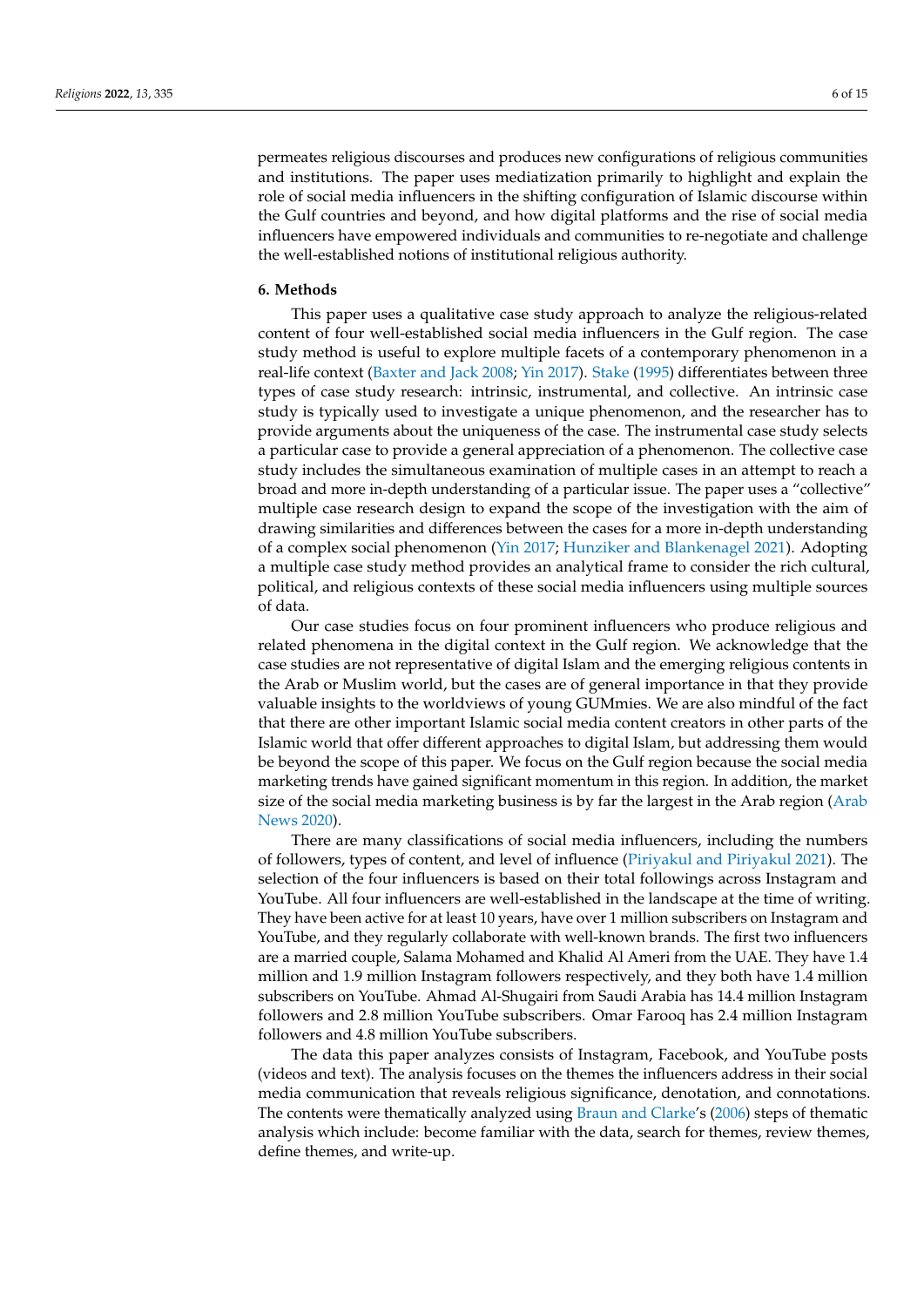permeates religious discourses and produces new configurations of religious communities and institutions. The paper uses mediatization primarily to highlight and explain the role of social media influencers in the shifting configuration of Islamic discourse within the Gulf countries and beyond, and how digital platforms and the rise of social media influencers have empowered individuals and communities to re-negotiate and challenge the well-established notions of institutional religious authority.

#### **6. Methods**

This paper uses a qualitative case study approach to analyze the religious-related content of four well-established social media influencers in the Gulf region. The case study method is useful to explore multiple facets of a contemporary phenomenon in a real-life context [\(Baxter and Jack](#page-12-8) [2008;](#page-12-8) [Yin](#page-15-7) [2017\)](#page-15-7). [Stake](#page-15-8) [\(1995\)](#page-15-8) differentiates between three types of case study research: intrinsic, instrumental, and collective. An intrinsic case study is typically used to investigate a unique phenomenon, and the researcher has to provide arguments about the uniqueness of the case. The instrumental case study selects a particular case to provide a general appreciation of a phenomenon. The collective case study includes the simultaneous examination of multiple cases in an attempt to reach a broad and more in-depth understanding of a particular issue. The paper uses a "collective" multiple case research design to expand the scope of the investigation with the aim of drawing similarities and differences between the cases for a more in-depth understanding of a complex social phenomenon [\(Yin](#page-15-7) [2017;](#page-15-7) [Hunziker and Blankenagel](#page-14-20) [2021\)](#page-14-20). Adopting a multiple case study method provides an analytical frame to consider the rich cultural, political, and religious contexts of these social media influencers using multiple sources of data.

Our case studies focus on four prominent influencers who produce religious and related phenomena in the digital context in the Gulf region. We acknowledge that the case studies are not representative of digital Islam and the emerging religious contents in the Arab or Muslim world, but the cases are of general importance in that they provide valuable insights to the worldviews of young GUMmies. We are also mindful of the fact that there are other important Islamic social media content creators in other parts of the Islamic world that offer different approaches to digital Islam, but addressing them would be beyond the scope of this paper. We focus on the Gulf region because the social media marketing trends have gained significant momentum in this region. In addition, the market size of the social media marketing business is by far the largest in the Arab region [\(Arab](#page-12-9) [News](#page-12-9) [2020\)](#page-12-9).

There are many classifications of social media influencers, including the numbers of followers, types of content, and level of influence [\(Piriyakul and Piriyakul](#page-14-21) [2021\)](#page-14-21). The selection of the four influencers is based on their total followings across Instagram and YouTube. All four influencers are well-established in the landscape at the time of writing. They have been active for at least 10 years, have over 1 million subscribers on Instagram and YouTube, and they regularly collaborate with well-known brands. The first two influencers are a married couple, Salama Mohamed and Khalid Al Ameri from the UAE. They have 1.4 million and 1.9 million Instagram followers respectively, and they both have 1.4 million subscribers on YouTube. Ahmad Al-Shugairi from Saudi Arabia has 14.4 million Instagram followers and 2.8 million YouTube subscribers. Omar Farooq has 2.4 million Instagram followers and 4.8 million YouTube subscribers.

The data this paper analyzes consists of Instagram, Facebook, and YouTube posts (videos and text). The analysis focuses on the themes the influencers address in their social media communication that reveals religious significance, denotation, and connotations. The contents were thematically analyzed using [Braun and Clarke'](#page-12-10)s [\(2006\)](#page-12-10) steps of thematic analysis which include: become familiar with the data, search for themes, review themes, define themes, and write-up.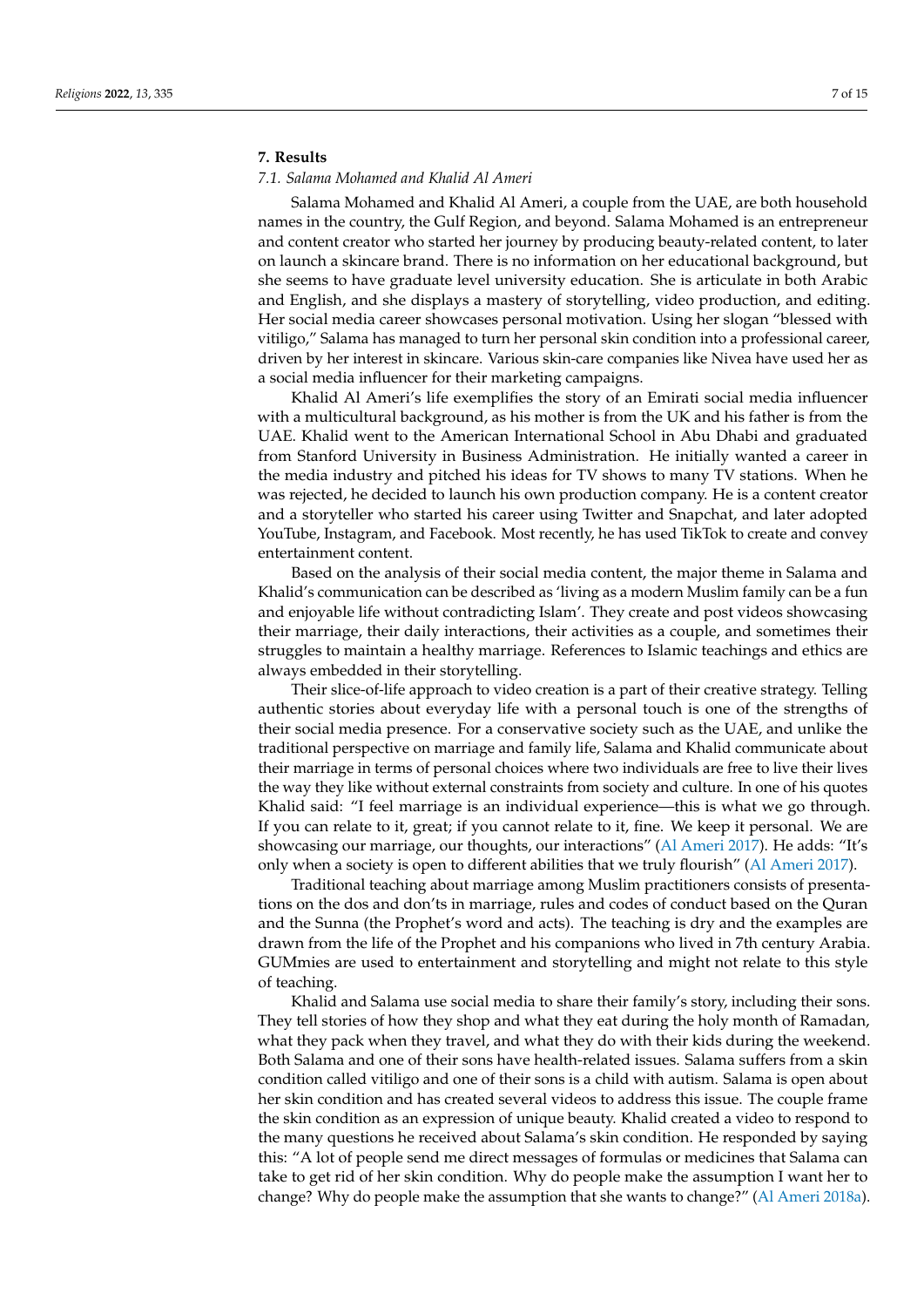## **7. Results**

### *7.1. Salama Mohamed and Khalid Al Ameri*

Salama Mohamed and Khalid Al Ameri, a couple from the UAE, are both household names in the country, the Gulf Region, and beyond. Salama Mohamed is an entrepreneur and content creator who started her journey by producing beauty-related content, to later on launch a skincare brand. There is no information on her educational background, but she seems to have graduate level university education. She is articulate in both Arabic and English, and she displays a mastery of storytelling, video production, and editing. Her social media career showcases personal motivation. Using her slogan "blessed with vitiligo," Salama has managed to turn her personal skin condition into a professional career, driven by her interest in skincare. Various skin-care companies like Nivea have used her as a social media influencer for their marketing campaigns.

Khalid Al Ameri's life exemplifies the story of an Emirati social media influencer with a multicultural background, as his mother is from the UK and his father is from the UAE. Khalid went to the American International School in Abu Dhabi and graduated from Stanford University in Business Administration. He initially wanted a career in the media industry and pitched his ideas for TV shows to many TV stations. When he was rejected, he decided to launch his own production company. He is a content creator and a storyteller who started his career using Twitter and Snapchat, and later adopted YouTube, Instagram, and Facebook. Most recently, he has used TikTok to create and convey entertainment content.

Based on the analysis of their social media content, the major theme in Salama and Khalid's communication can be described as 'living as a modern Muslim family can be a fun and enjoyable life without contradicting Islam'. They create and post videos showcasing their marriage, their daily interactions, their activities as a couple, and sometimes their struggles to maintain a healthy marriage. References to Islamic teachings and ethics are always embedded in their storytelling.

Their slice-of-life approach to video creation is a part of their creative strategy. Telling authentic stories about everyday life with a personal touch is one of the strengths of their social media presence. For a conservative society such as the UAE, and unlike the traditional perspective on marriage and family life, Salama and Khalid communicate about their marriage in terms of personal choices where two individuals are free to live their lives the way they like without external constraints from society and culture. In one of his quotes Khalid said: "I feel marriage is an individual experience—this is what we go through. If you can relate to it, great; if you cannot relate to it, fine. We keep it personal. We are showcasing our marriage, our thoughts, our interactions" [\(Al Ameri](#page-12-11) [2017\)](#page-12-11). He adds: "It's only when a society is open to different abilities that we truly flourish" [\(Al Ameri](#page-12-11) [2017\)](#page-12-11).

Traditional teaching about marriage among Muslim practitioners consists of presentations on the dos and don'ts in marriage, rules and codes of conduct based on the Quran and the Sunna (the Prophet's word and acts). The teaching is dry and the examples are drawn from the life of the Prophet and his companions who lived in 7th century Arabia. GUMmies are used to entertainment and storytelling and might not relate to this style of teaching.

Khalid and Salama use social media to share their family's story, including their sons. They tell stories of how they shop and what they eat during the holy month of Ramadan, what they pack when they travel, and what they do with their kids during the weekend. Both Salama and one of their sons have health-related issues. Salama suffers from a skin condition called vitiligo and one of their sons is a child with autism. Salama is open about her skin condition and has created several videos to address this issue. The couple frame the skin condition as an expression of unique beauty. Khalid created a video to respond to the many questions he received about Salama's skin condition. He responded by saying this: "A lot of people send me direct messages of formulas or medicines that Salama can take to get rid of her skin condition. Why do people make the assumption I want her to change? Why do people make the assumption that she wants to change?" [\(Al Ameri](#page-12-12) [2018a\)](#page-12-12).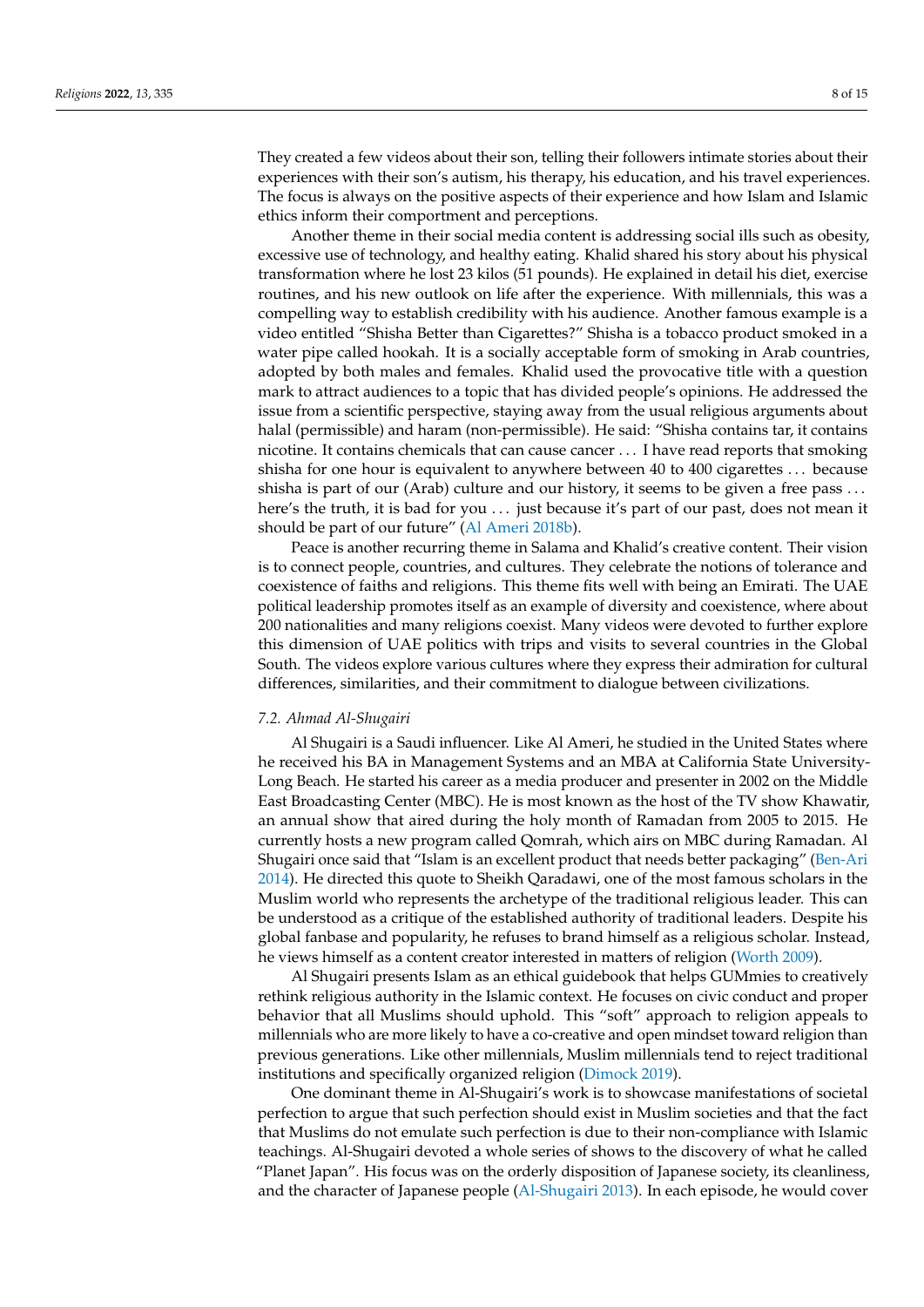They created a few videos about their son, telling their followers intimate stories about their experiences with their son's autism, his therapy, his education, and his travel experiences. The focus is always on the positive aspects of their experience and how Islam and Islamic ethics inform their comportment and perceptions.

Another theme in their social media content is addressing social ills such as obesity, excessive use of technology, and healthy eating. Khalid shared his story about his physical transformation where he lost 23 kilos (51 pounds). He explained in detail his diet, exercise routines, and his new outlook on life after the experience. With millennials, this was a compelling way to establish credibility with his audience. Another famous example is a video entitled "Shisha Better than Cigarettes?" Shisha is a tobacco product smoked in a water pipe called hookah. It is a socially acceptable form of smoking in Arab countries, adopted by both males and females. Khalid used the provocative title with a question mark to attract audiences to a topic that has divided people's opinions. He addressed the issue from a scientific perspective, staying away from the usual religious arguments about halal (permissible) and haram (non-permissible). He said: "Shisha contains tar, it contains nicotine. It contains chemicals that can cause cancer . . . I have read reports that smoking shisha for one hour is equivalent to anywhere between 40 to 400 cigarettes . . . because shisha is part of our (Arab) culture and our history, it seems to be given a free pass ... here's the truth, it is bad for you ... just because it's part of our past, does not mean it should be part of our future" [\(Al Ameri](#page-12-13) [2018b\)](#page-12-13).

Peace is another recurring theme in Salama and Khalid's creative content. Their vision is to connect people, countries, and cultures. They celebrate the notions of tolerance and coexistence of faiths and religions. This theme fits well with being an Emirati. The UAE political leadership promotes itself as an example of diversity and coexistence, where about 200 nationalities and many religions coexist. Many videos were devoted to further explore this dimension of UAE politics with trips and visits to several countries in the Global South. The videos explore various cultures where they express their admiration for cultural differences, similarities, and their commitment to dialogue between civilizations.

## *7.2. Ahmad Al-Shugairi*

Al Shugairi is a Saudi influencer. Like Al Ameri, he studied in the United States where he received his BA in Management Systems and an MBA at California State University-Long Beach. He started his career as a media producer and presenter in 2002 on the Middle East Broadcasting Center (MBC). He is most known as the host of the TV show Khawatir, an annual show that aired during the holy month of Ramadan from 2005 to 2015. He currently hosts a new program called Qomrah, which airs on MBC during Ramadan. Al Shugairi once said that "Islam is an excellent product that needs better packaging" [\(Ben-Ari](#page-12-14) [2014\)](#page-12-14). He directed this quote to Sheikh Qaradawi, one of the most famous scholars in the Muslim world who represents the archetype of the traditional religious leader. This can be understood as a critique of the established authority of traditional leaders. Despite his global fanbase and popularity, he refuses to brand himself as a religious scholar. Instead, he views himself as a content creator interested in matters of religion [\(Worth](#page-15-9) [2009\)](#page-15-9).

Al Shugairi presents Islam as an ethical guidebook that helps GUMmies to creatively rethink religious authority in the Islamic context. He focuses on civic conduct and proper behavior that all Muslims should uphold. This "soft" approach to religion appeals to millennials who are more likely to have a co-creative and open mindset toward religion than previous generations. Like other millennials, Muslim millennials tend to reject traditional institutions and specifically organized religion [\(Dimock](#page-13-20) [2019\)](#page-13-20).

One dominant theme in Al-Shugairi's work is to showcase manifestations of societal perfection to argue that such perfection should exist in Muslim societies and that the fact that Muslims do not emulate such perfection is due to their non-compliance with Islamic teachings. Al-Shugairi devoted a whole series of shows to the discovery of what he called "Planet Japan". His focus was on the orderly disposition of Japanese society, its cleanliness, and the character of Japanese people [\(Al-Shugairi](#page-12-15) [2013\)](#page-12-15). In each episode, he would cover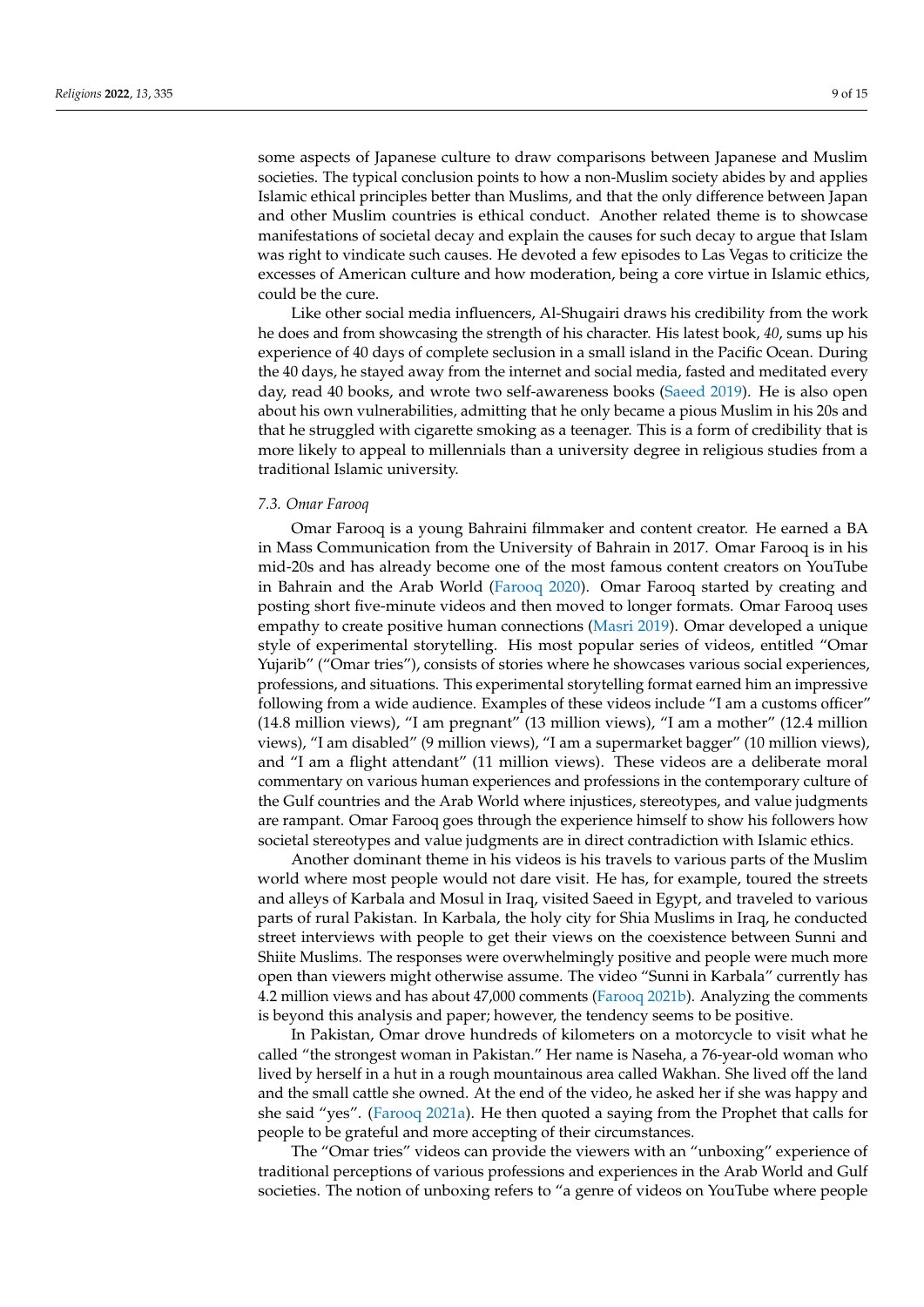some aspects of Japanese culture to draw comparisons between Japanese and Muslim societies. The typical conclusion points to how a non-Muslim society abides by and applies Islamic ethical principles better than Muslims, and that the only difference between Japan and other Muslim countries is ethical conduct. Another related theme is to showcase manifestations of societal decay and explain the causes for such decay to argue that Islam was right to vindicate such causes. He devoted a few episodes to Las Vegas to criticize the excesses of American culture and how moderation, being a core virtue in Islamic ethics, could be the cure.

Like other social media influencers, Al-Shugairi draws his credibility from the work he does and from showcasing the strength of his character. His latest book, *40*, sums up his experience of 40 days of complete seclusion in a small island in the Pacific Ocean. During the 40 days, he stayed away from the internet and social media, fasted and meditated every day, read 40 books, and wrote two self-awareness books [\(Saeed](#page-14-22) [2019\)](#page-14-22). He is also open about his own vulnerabilities, admitting that he only became a pious Muslim in his 20s and that he struggled with cigarette smoking as a teenager. This is a form of credibility that is more likely to appeal to millennials than a university degree in religious studies from a traditional Islamic university.

### *7.3. Omar Farooq*

Omar Farooq is a young Bahraini filmmaker and content creator. He earned a BA in Mass Communication from the University of Bahrain in 2017. Omar Farooq is in his mid-20s and has already become one of the most famous content creators on YouTube in Bahrain and the Arab World [\(Farooq](#page-13-21) [2020\)](#page-13-21). Omar Farooq started by creating and posting short five-minute videos and then moved to longer formats. Omar Farooq uses empathy to create positive human connections [\(Masri](#page-14-23) [2019\)](#page-14-23). Omar developed a unique style of experimental storytelling. His most popular series of videos, entitled "Omar Yujarib" ("Omar tries"), consists of stories where he showcases various social experiences, professions, and situations. This experimental storytelling format earned him an impressive following from a wide audience. Examples of these videos include "I am a customs officer" (14.8 million views), "I am pregnant" (13 million views), "I am a mother" (12.4 million views), "I am disabled" (9 million views), "I am a supermarket bagger" (10 million views), and "I am a flight attendant" (11 million views). These videos are a deliberate moral commentary on various human experiences and professions in the contemporary culture of the Gulf countries and the Arab World where injustices, stereotypes, and value judgments are rampant. Omar Farooq goes through the experience himself to show his followers how societal stereotypes and value judgments are in direct contradiction with Islamic ethics.

Another dominant theme in his videos is his travels to various parts of the Muslim world where most people would not dare visit. He has, for example, toured the streets and alleys of Karbala and Mosul in Iraq, visited Saeed in Egypt, and traveled to various parts of rural Pakistan. In Karbala, the holy city for Shia Muslims in Iraq, he conducted street interviews with people to get their views on the coexistence between Sunni and Shiite Muslims. The responses were overwhelmingly positive and people were much more open than viewers might otherwise assume. The video "Sunni in Karbala" currently has 4.2 million views and has about 47,000 comments [\(Farooq](#page-13-22) [2021b\)](#page-13-22). Analyzing the comments is beyond this analysis and paper; however, the tendency seems to be positive.

In Pakistan, Omar drove hundreds of kilometers on a motorcycle to visit what he called "the strongest woman in Pakistan." Her name is Naseha, a 76-year-old woman who lived by herself in a hut in a rough mountainous area called Wakhan. She lived off the land and the small cattle she owned. At the end of the video, he asked her if she was happy and she said "yes". [\(Farooq](#page-13-23) [2021a\)](#page-13-23). He then quoted a saying from the Prophet that calls for people to be grateful and more accepting of their circumstances.

The "Omar tries" videos can provide the viewers with an "unboxing" experience of traditional perceptions of various professions and experiences in the Arab World and Gulf societies. The notion of unboxing refers to "a genre of videos on YouTube where people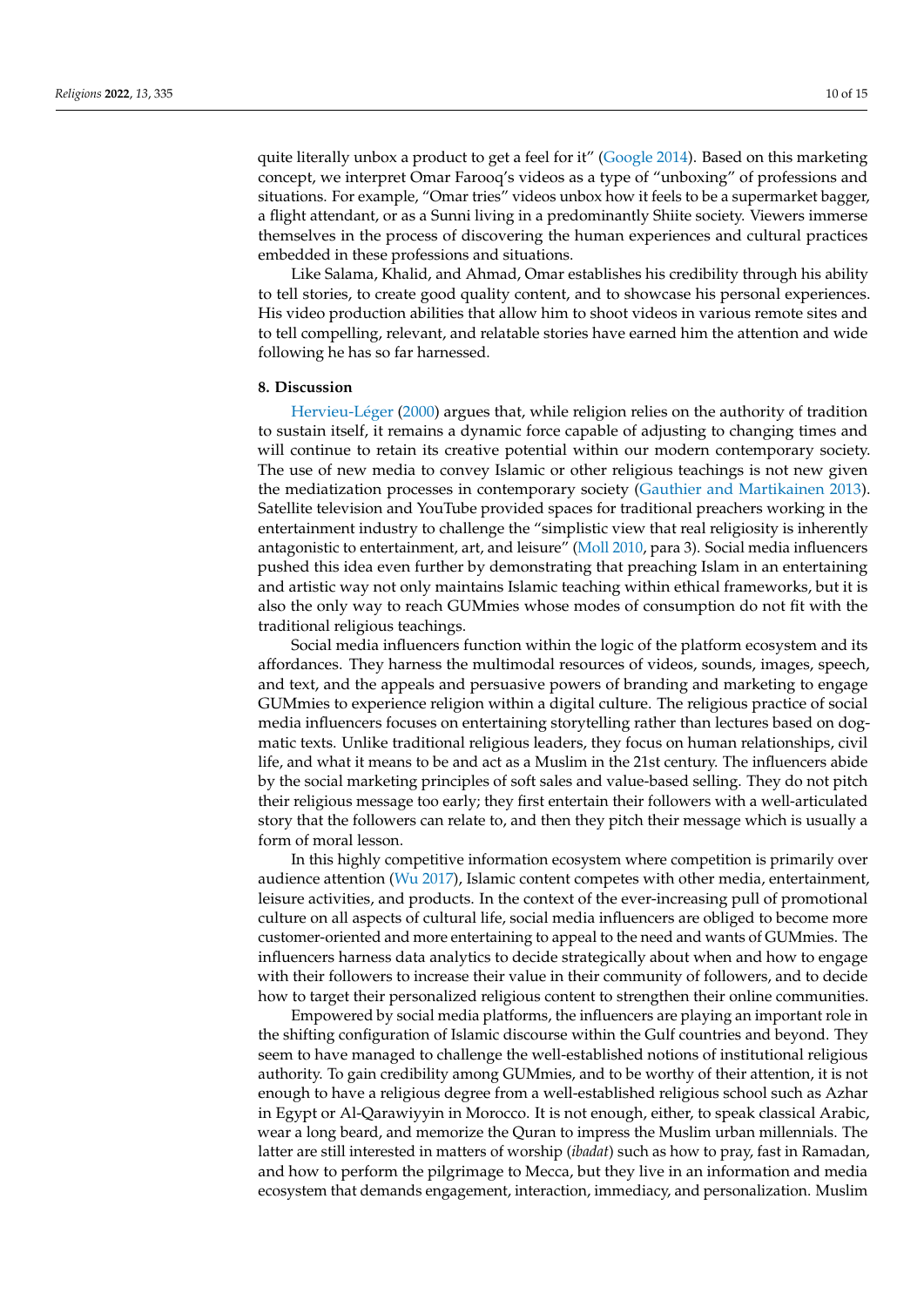quite literally unbox a product to get a feel for it" [\(Google](#page-13-24) [2014\)](#page-13-24). Based on this marketing concept, we interpret Omar Farooq's videos as a type of "unboxing" of professions and situations. For example, "Omar tries" videos unbox how it feels to be a supermarket bagger, a flight attendant, or as a Sunni living in a predominantly Shiite society. Viewers immerse themselves in the process of discovering the human experiences and cultural practices embedded in these professions and situations.

Like Salama, Khalid, and Ahmad, Omar establishes his credibility through his ability to tell stories, to create good quality content, and to showcase his personal experiences. His video production abilities that allow him to shoot videos in various remote sites and to tell compelling, relevant, and relatable stories have earned him the attention and wide following he has so far harnessed.

#### **8. Discussion**

[Hervieu-L](#page-14-24)éger [\(2000\)](#page-14-24) argues that, while religion relies on the authority of tradition to sustain itself, it remains a dynamic force capable of adjusting to changing times and will continue to retain its creative potential within our modern contemporary society. The use of new media to convey Islamic or other religious teachings is not new given the mediatization processes in contemporary society [\(Gauthier and Martikainen](#page-13-0) [2013\)](#page-13-0). Satellite television and YouTube provided spaces for traditional preachers working in the entertainment industry to challenge the "simplistic view that real religiosity is inherently antagonistic to entertainment, art, and leisure" [\(Moll](#page-14-25) [2010,](#page-14-25) para 3). Social media influencers pushed this idea even further by demonstrating that preaching Islam in an entertaining and artistic way not only maintains Islamic teaching within ethical frameworks, but it is also the only way to reach GUMmies whose modes of consumption do not fit with the traditional religious teachings.

Social media influencers function within the logic of the platform ecosystem and its affordances. They harness the multimodal resources of videos, sounds, images, speech, and text, and the appeals and persuasive powers of branding and marketing to engage GUMmies to experience religion within a digital culture. The religious practice of social media influencers focuses on entertaining storytelling rather than lectures based on dogmatic texts. Unlike traditional religious leaders, they focus on human relationships, civil life, and what it means to be and act as a Muslim in the 21st century. The influencers abide by the social marketing principles of soft sales and value-based selling. They do not pitch their religious message too early; they first entertain their followers with a well-articulated story that the followers can relate to, and then they pitch their message which is usually a form of moral lesson.

In this highly competitive information ecosystem where competition is primarily over audience attention [\(Wu](#page-15-10) [2017\)](#page-15-10), Islamic content competes with other media, entertainment, leisure activities, and products. In the context of the ever-increasing pull of promotional culture on all aspects of cultural life, social media influencers are obliged to become more customer-oriented and more entertaining to appeal to the need and wants of GUMmies. The influencers harness data analytics to decide strategically about when and how to engage with their followers to increase their value in their community of followers, and to decide how to target their personalized religious content to strengthen their online communities.

Empowered by social media platforms, the influencers are playing an important role in the shifting configuration of Islamic discourse within the Gulf countries and beyond. They seem to have managed to challenge the well-established notions of institutional religious authority. To gain credibility among GUMmies, and to be worthy of their attention, it is not enough to have a religious degree from a well-established religious school such as Azhar in Egypt or Al-Qarawiyyin in Morocco. It is not enough, either, to speak classical Arabic, wear a long beard, and memorize the Quran to impress the Muslim urban millennials. The latter are still interested in matters of worship (*ibadat*) such as how to pray, fast in Ramadan, and how to perform the pilgrimage to Mecca, but they live in an information and media ecosystem that demands engagement, interaction, immediacy, and personalization. Muslim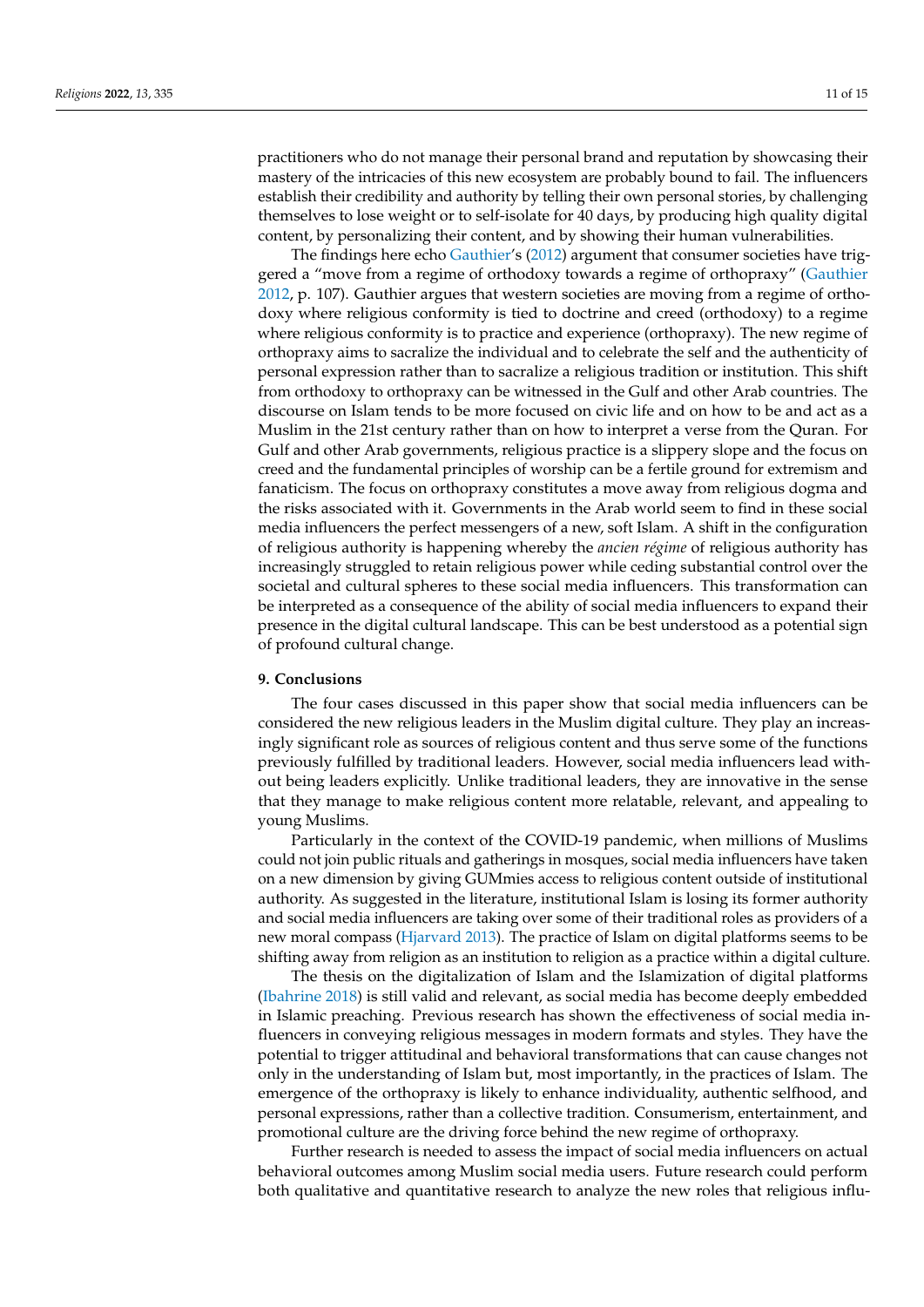practitioners who do not manage their personal brand and reputation by showcasing their mastery of the intricacies of this new ecosystem are probably bound to fail. The influencers establish their credibility and authority by telling their own personal stories, by challenging themselves to lose weight or to self-isolate for 40 days, by producing high quality digital content, by personalizing their content, and by showing their human vulnerabilities.

The findings here echo [Gauthier'](#page-13-25)s [\(2012\)](#page-13-25) argument that consumer societies have triggered a "move from a regime of orthodoxy towards a regime of orthopraxy" [\(Gauthier](#page-13-25) [2012,](#page-13-25) p. 107). Gauthier argues that western societies are moving from a regime of orthodoxy where religious conformity is tied to doctrine and creed (orthodoxy) to a regime where religious conformity is to practice and experience (orthopraxy). The new regime of orthopraxy aims to sacralize the individual and to celebrate the self and the authenticity of personal expression rather than to sacralize a religious tradition or institution. This shift from orthodoxy to orthopraxy can be witnessed in the Gulf and other Arab countries. The discourse on Islam tends to be more focused on civic life and on how to be and act as a Muslim in the 21st century rather than on how to interpret a verse from the Quran. For Gulf and other Arab governments, religious practice is a slippery slope and the focus on creed and the fundamental principles of worship can be a fertile ground for extremism and fanaticism. The focus on orthopraxy constitutes a move away from religious dogma and the risks associated with it. Governments in the Arab world seem to find in these social media influencers the perfect messengers of a new, soft Islam. A shift in the configuration of religious authority is happening whereby the *ancien régime* of religious authority has increasingly struggled to retain religious power while ceding substantial control over the societal and cultural spheres to these social media influencers. This transformation can be interpreted as a consequence of the ability of social media influencers to expand their presence in the digital cultural landscape. This can be best understood as a potential sign of profound cultural change.

## **9. Conclusions**

The four cases discussed in this paper show that social media influencers can be considered the new religious leaders in the Muslim digital culture. They play an increasingly significant role as sources of religious content and thus serve some of the functions previously fulfilled by traditional leaders. However, social media influencers lead without being leaders explicitly. Unlike traditional leaders, they are innovative in the sense that they manage to make religious content more relatable, relevant, and appealing to young Muslims.

Particularly in the context of the COVID-19 pandemic, when millions of Muslims could not join public rituals and gatherings in mosques, social media influencers have taken on a new dimension by giving GUMmies access to religious content outside of institutional authority. As suggested in the literature, institutional Islam is losing its former authority and social media influencers are taking over some of their traditional roles as providers of a new moral compass [\(Hjarvard](#page-14-17) [2013\)](#page-14-17). The practice of Islam on digital platforms seems to be shifting away from religion as an institution to religion as a practice within a digital culture.

The thesis on the digitalization of Islam and the Islamization of digital platforms [\(Ibahrine](#page-14-6) [2018\)](#page-14-6) is still valid and relevant, as social media has become deeply embedded in Islamic preaching. Previous research has shown the effectiveness of social media influencers in conveying religious messages in modern formats and styles. They have the potential to trigger attitudinal and behavioral transformations that can cause changes not only in the understanding of Islam but, most importantly, in the practices of Islam. The emergence of the orthopraxy is likely to enhance individuality, authentic selfhood, and personal expressions, rather than a collective tradition. Consumerism, entertainment, and promotional culture are the driving force behind the new regime of orthopraxy.

Further research is needed to assess the impact of social media influencers on actual behavioral outcomes among Muslim social media users. Future research could perform both qualitative and quantitative research to analyze the new roles that religious influ-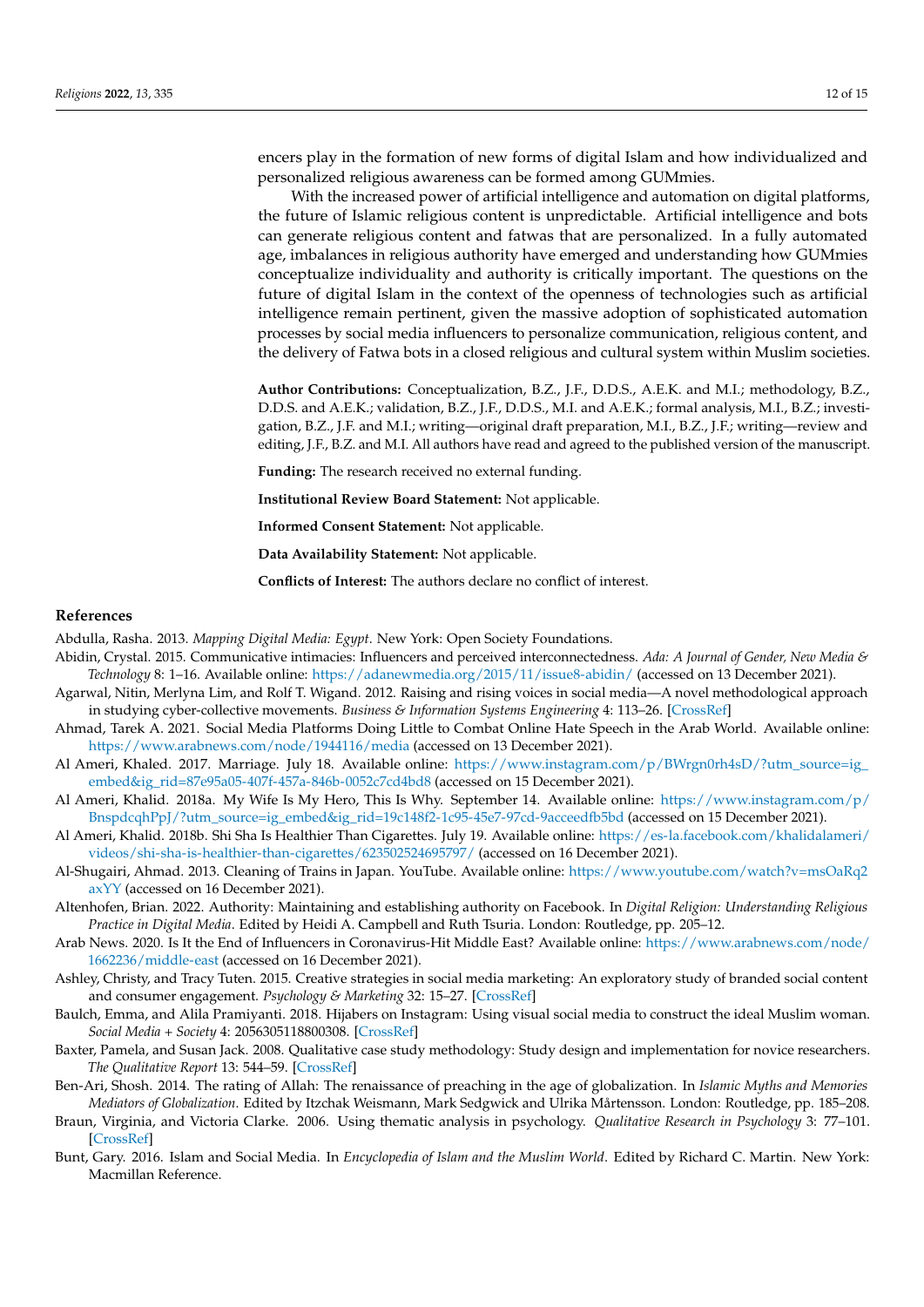encers play in the formation of new forms of digital Islam and how individualized and personalized religious awareness can be formed among GUMmies.

With the increased power of artificial intelligence and automation on digital platforms, the future of Islamic religious content is unpredictable. Artificial intelligence and bots can generate religious content and fatwas that are personalized. In a fully automated age, imbalances in religious authority have emerged and understanding how GUMmies conceptualize individuality and authority is critically important. The questions on the future of digital Islam in the context of the openness of technologies such as artificial intelligence remain pertinent, given the massive adoption of sophisticated automation processes by social media influencers to personalize communication, religious content, and the delivery of Fatwa bots in a closed religious and cultural system within Muslim societies.

**Author Contributions:** Conceptualization, B.Z., J.F., D.D.S., A.E.K. and M.I.; methodology, B.Z., D.D.S. and A.E.K.; validation, B.Z., J.F., D.D.S., M.I. and A.E.K.; formal analysis, M.I., B.Z.; investigation, B.Z., J.F. and M.I.; writing—original draft preparation, M.I., B.Z., J.F.; writing—review and editing, J.F., B.Z. and M.I. All authors have read and agreed to the published version of the manuscript.

**Funding:** The research received no external funding.

**Institutional Review Board Statement:** Not applicable.

**Informed Consent Statement:** Not applicable.

**Data Availability Statement:** Not applicable.

**Conflicts of Interest:** The authors declare no conflict of interest.

#### **References**

<span id="page-12-5"></span>Abdulla, Rasha. 2013. *Mapping Digital Media: Egypt*. New York: Open Society Foundations.

- <span id="page-12-3"></span>Abidin, Crystal. 2015. Communicative intimacies: Influencers and perceived interconnectedness. *Ada: A Journal of Gender, New Media & Technology* 8: 1–16. Available online: <https://adanewmedia.org/2015/11/issue8-abidin/> (accessed on 13 December 2021).
- <span id="page-12-6"></span>Agarwal, Nitin, Merlyna Lim, and Rolf T. Wigand. 2012. Raising and rising voices in social media—A novel methodological approach in studying cyber-collective movements. *Business & Information Systems Engineering* 4: 113–26. [\[CrossRef\]](http://doi.org/10.1007/s12599-012-0210-z)
- <span id="page-12-4"></span>Ahmad, Tarek A. 2021. Social Media Platforms Doing Little to Combat Online Hate Speech in the Arab World. Available online: <https://www.arabnews.com/node/1944116/media> (accessed on 13 December 2021).
- <span id="page-12-11"></span>Al Ameri, Khaled. 2017. Marriage. July 18. Available online: [https://www.instagram.com/p/BWrgn0rh4sD/?utm\\_source=ig\\_](https://www.instagram.com/p/BWrgn0rh4sD/?utm_source=ig_embed&ig_rid=87e95a05-407f-457a-846b-0052c7cd4bd8) [embed&ig\\_rid=87e95a05-407f-457a-846b-0052c7cd4bd8](https://www.instagram.com/p/BWrgn0rh4sD/?utm_source=ig_embed&ig_rid=87e95a05-407f-457a-846b-0052c7cd4bd8) (accessed on 15 December 2021).
- <span id="page-12-12"></span>Al Ameri, Khalid. 2018a. My Wife Is My Hero, This Is Why. September 14. Available online: [https://www.instagram.com/p/](https://www.instagram.com/p/BnspdcqhPpJ/?utm_source=ig_embed&ig_rid=19c148f2-1c95-45e7-97cd-9acceedfb5bd) [BnspdcqhPpJ/?utm\\_source=ig\\_embed&ig\\_rid=19c148f2-1c95-45e7-97cd-9acceedfb5bd](https://www.instagram.com/p/BnspdcqhPpJ/?utm_source=ig_embed&ig_rid=19c148f2-1c95-45e7-97cd-9acceedfb5bd) (accessed on 15 December 2021).
- <span id="page-12-13"></span>Al Ameri, Khalid. 2018b. Shi Sha Is Healthier Than Cigarettes. July 19. Available online: [https://es-la.facebook.com/khalidalameri/](https://es-la.facebook.com/khalidalameri/videos/shi-sha-is-healthier-than-cigarettes/623502524695797/) [videos/shi-sha-is-healthier-than-cigarettes/623502524695797/](https://es-la.facebook.com/khalidalameri/videos/shi-sha-is-healthier-than-cigarettes/623502524695797/) (accessed on 16 December 2021).
- <span id="page-12-15"></span>Al-Shugairi, Ahmad. 2013. Cleaning of Trains in Japan. YouTube. Available online: [https://www.youtube.com/watch?v=msOaRq2](https://www.youtube.com/watch?v=msOaRq2axYY) [axYY](https://www.youtube.com/watch?v=msOaRq2axYY) (accessed on 16 December 2021).
- <span id="page-12-1"></span>Altenhofen, Brian. 2022. Authority: Maintaining and establishing authority on Facebook. In *Digital Religion: Understanding Religious Practice in Digital Media*. Edited by Heidi A. Campbell and Ruth Tsuria. London: Routledge, pp. 205–12.
- <span id="page-12-9"></span>Arab News. 2020. Is It the End of Influencers in Coronavirus-Hit Middle East? Available online: [https://www.arabnews.com/node/](https://www.arabnews.com/node/1662236/middle-east) [1662236/middle-east](https://www.arabnews.com/node/1662236/middle-east) (accessed on 16 December 2021).
- <span id="page-12-2"></span>Ashley, Christy, and Tracy Tuten. 2015. Creative strategies in social media marketing: An exploratory study of branded social content and consumer engagement. *Psychology & Marketing* 32: 15–27. [\[CrossRef\]](http://doi.org/10.1002/mar.20761)
- <span id="page-12-7"></span>Baulch, Emma, and Alila Pramiyanti. 2018. Hijabers on Instagram: Using visual social media to construct the ideal Muslim woman. *Social Media + Society* 4: 2056305118800308. [\[CrossRef\]](http://doi.org/10.1177/2056305118800308)
- <span id="page-12-8"></span>Baxter, Pamela, and Susan Jack. 2008. Qualitative case study methodology: Study design and implementation for novice researchers. *The Qualitative Report* 13: 544–59. [\[CrossRef\]](http://doi.org/10.46743/2160-3715/2008.1573)
- <span id="page-12-14"></span>Ben-Ari, Shosh. 2014. The rating of Allah: The renaissance of preaching in the age of globalization. In *Islamic Myths and Memories Mediators of Globalization*. Edited by Itzchak Weismann, Mark Sedgwick and Ulrika Mårtensson. London: Routledge, pp. 185–208.
- <span id="page-12-10"></span>Braun, Virginia, and Victoria Clarke. 2006. Using thematic analysis in psychology. *Qualitative Research in Psychology* 3: 77–101. [\[CrossRef\]](http://doi.org/10.1191/1478088706qp063oa)
- <span id="page-12-0"></span>Bunt, Gary. 2016. Islam and Social Media. In *Encyclopedia of Islam and the Muslim World*. Edited by Richard C. Martin. New York: Macmillan Reference.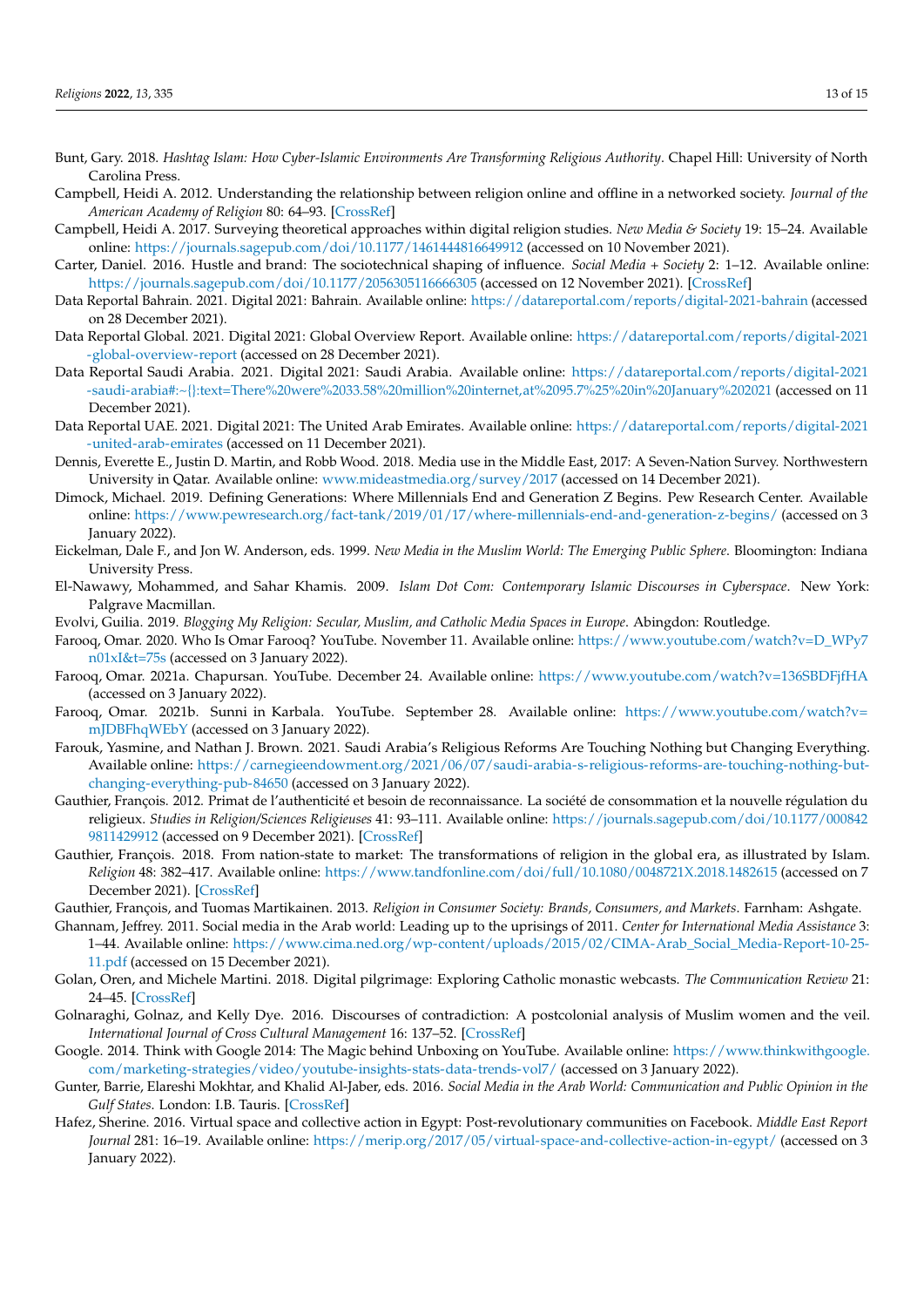- <span id="page-13-4"></span>Bunt, Gary. 2018. *Hashtag Islam: How Cyber-Islamic Environments Are Transforming Religious Authority*. Chapel Hill: University of North Carolina Press.
- <span id="page-13-1"></span>Campbell, Heidi A. 2012. Understanding the relationship between religion online and offline in a networked society. *Journal of the American Academy of Religion* 80: 64–93. [\[CrossRef\]](http://doi.org/10.1093/jaarel/lfr074)
- <span id="page-13-19"></span>Campbell, Heidi A. 2017. Surveying theoretical approaches within digital religion studies. *New Media & Society* 19: 15–24. Available online: <https://journals.sagepub.com/doi/10.1177/1461444816649912> (accessed on 10 November 2021).
- <span id="page-13-6"></span>Carter, Daniel. 2016. Hustle and brand: The sociotechnical shaping of influence. *Social Media + Society* 2: 1–12. Available online: <https://journals.sagepub.com/doi/10.1177/2056305116666305> (accessed on 12 November 2021). [\[CrossRef\]](http://doi.org/10.1177/2056305116666305)
- <span id="page-13-18"></span>Data Reportal Bahrain. 2021. Digital 2021: Bahrain. Available online: <https://datareportal.com/reports/digital-2021-bahrain> (accessed on 28 December 2021).
- <span id="page-13-14"></span>Data Reportal Global. 2021. Digital 2021: Global Overview Report. Available online: [https://datareportal.com/reports/digital-2021](https://datareportal.com/reports/digital-2021-global-overview-report) [-global-overview-report](https://datareportal.com/reports/digital-2021-global-overview-report) (accessed on 28 December 2021).
- <span id="page-13-15"></span>Data Reportal Saudi Arabia. 2021. Digital 2021: Saudi Arabia. Available online: [https://datareportal.com/reports/digital-2021](https://datareportal.com/reports/digital-2021-saudi-arabia#:~{}:text=There%20were%2033.58%20million%20internet,at%2095.7%25%20in%20January%202021) [-saudi-arabia#:~{}:text=There%20were%2033.58%20million%20internet,at%2095.7%25%20in%20January%202021](https://datareportal.com/reports/digital-2021-saudi-arabia#:~{}:text=There%20were%2033.58%20million%20internet,at%2095.7%25%20in%20January%202021) (accessed on 11 December 2021).
- <span id="page-13-17"></span>Data Reportal UAE. 2021. Digital 2021: The United Arab Emirates. Available online: [https://datareportal.com/reports/digital-2021](https://datareportal.com/reports/digital-2021-united-arab-emirates) [-united-arab-emirates](https://datareportal.com/reports/digital-2021-united-arab-emirates) (accessed on 11 December 2021).
- <span id="page-13-16"></span>Dennis, Everette E., Justin D. Martin, and Robb Wood. 2018. Media use in the Middle East, 2017: A Seven-Nation Survey. Northwestern University in Qatar. Available online: <www.mideastmedia.org/survey/2017> (accessed on 14 December 2021).
- <span id="page-13-20"></span>Dimock, Michael. 2019. Defining Generations: Where Millennials End and Generation Z Begins. Pew Research Center. Available online: <https://www.pewresearch.org/fact-tank/2019/01/17/where-millennials-end-and-generation-z-begins/> (accessed on 3 January 2022).
- <span id="page-13-2"></span>Eickelman, Dale F., and Jon W. Anderson, eds. 1999. *New Media in the Muslim World: The Emerging Public Sphere*. Bloomington: Indiana University Press.
- <span id="page-13-3"></span>El-Nawawy, Mohammed, and Sahar Khamis. 2009. *Islam Dot Com: Contemporary Islamic Discourses in Cyberspace*. New York: Palgrave Macmillan.
- <span id="page-13-5"></span>Evolvi, Guilia. 2019. *Blogging My Religion: Secular, Muslim, and Catholic Media Spaces in Europe*. Abingdon: Routledge.
- <span id="page-13-21"></span>Farooq, Omar. 2020. Who Is Omar Farooq? YouTube. November 11. Available online: [https://www.youtube.com/watch?v=D\\_WPy7](https://www.youtube.com/watch?v=D_WPy7n01xI&t=75s) [n01xI&t=75s](https://www.youtube.com/watch?v=D_WPy7n01xI&t=75s) (accessed on 3 January 2022).
- <span id="page-13-23"></span>Farooq, Omar. 2021a. Chapursan. YouTube. December 24. Available online: <https://www.youtube.com/watch?v=136SBDFjfHA> (accessed on 3 January 2022).
- <span id="page-13-22"></span>Farooq, Omar. 2021b. Sunni in Karbala. YouTube. September 28. Available online: [https://www.youtube.com/watch?v=](https://www.youtube.com/watch?v=mJDBFhqWEbY) [mJDBFhqWEbY](https://www.youtube.com/watch?v=mJDBFhqWEbY) (accessed on 3 January 2022).
- <span id="page-13-7"></span>Farouk, Yasmine, and Nathan J. Brown. 2021. Saudi Arabia's Religious Reforms Are Touching Nothing but Changing Everything. Available online: [https://carnegieendowment.org/2021/06/07/saudi-arabia-s-religious-reforms-are-touching-nothing-but](https://carnegieendowment.org/2021/06/07/saudi-arabia-s-religious-reforms-are-touching-nothing-but-changing-everything-pub-84650)[changing-everything-pub-84650](https://carnegieendowment.org/2021/06/07/saudi-arabia-s-religious-reforms-are-touching-nothing-but-changing-everything-pub-84650) (accessed on 3 January 2022).
- <span id="page-13-25"></span>Gauthier, François. 2012. Primat de l'authenticité et besoin de reconnaissance. La société de consommation et la nouvelle régulation du religieux. *Studies in Religion/Sciences Religieuses* 41: 93–111. Available online: [https://journals.sagepub.com/doi/10.1177/000842](https://journals.sagepub.com/doi/10.1177/0008429811429912) [9811429912](https://journals.sagepub.com/doi/10.1177/0008429811429912) (accessed on 9 December 2021). [\[CrossRef\]](http://doi.org/10.1177/0008429811429912)
- <span id="page-13-9"></span>Gauthier, François. 2018. From nation-state to market: The transformations of religion in the global era, as illustrated by Islam. *Religion* 48: 382–417. Available online: <https://www.tandfonline.com/doi/full/10.1080/0048721X.2018.1482615> (accessed on 7 December 2021). [\[CrossRef\]](http://doi.org/10.1080/0048721X.2018.1482615)
- <span id="page-13-0"></span>Gauthier, François, and Tuomas Martikainen. 2013. *Religion in Consumer Society: Brands, Consumers, and Markets*. Farnham: Ashgate.
- <span id="page-13-10"></span>Ghannam, Jeffrey. 2011. Social media in the Arab world: Leading up to the uprisings of 2011. *Center for International Media Assistance* 3: 1–44. Available online: [https://www.cima.ned.org/wp-content/uploads/2015/02/CIMA-Arab\\_Social\\_Media-Report-10-25-](https://www.cima.ned.org/wp-content/uploads/2015/02/CIMA-Arab_Social_Media-Report-10-25-11.pdf) [11.pdf](https://www.cima.ned.org/wp-content/uploads/2015/02/CIMA-Arab_Social_Media-Report-10-25-11.pdf) (accessed on 15 December 2021).
- <span id="page-13-8"></span>Golan, Oren, and Michele Martini. 2018. Digital pilgrimage: Exploring Catholic monastic webcasts. *The Communication Review* 21: 24–45. [\[CrossRef\]](http://doi.org/10.1080/10714421.2017.1416795)
- <span id="page-13-13"></span>Golnaraghi, Golnaz, and Kelly Dye. 2016. Discourses of contradiction: A postcolonial analysis of Muslim women and the veil. *International Journal of Cross Cultural Management* 16: 137–52. [\[CrossRef\]](http://doi.org/10.1177/1470595816660118)
- <span id="page-13-24"></span>Google. 2014. Think with Google 2014: The Magic behind Unboxing on YouTube. Available online: [https://www.thinkwithgoogle.](https://www.thinkwithgoogle.com/marketing-strategies/video/youtube-insights-stats-data-trends-vol7/) [com/marketing-strategies/video/youtube-insights-stats-data-trends-vol7/](https://www.thinkwithgoogle.com/marketing-strategies/video/youtube-insights-stats-data-trends-vol7/) (accessed on 3 January 2022).
- <span id="page-13-11"></span>Gunter, Barrie, Elareshi Mokhtar, and Khalid Al-Jaber, eds. 2016. *Social Media in the Arab World: Communication and Public Opinion in the Gulf States*. London: I.B. Tauris. [\[CrossRef\]](http://doi.org/10.5040/9781350988057)
- <span id="page-13-12"></span>Hafez, Sherine. 2016. Virtual space and collective action in Egypt: Post-revolutionary communities on Facebook. *Middle East Report Journal* 281: 16–19. Available online: <https://merip.org/2017/05/virtual-space-and-collective-action-in-egypt/> (accessed on 3 January 2022).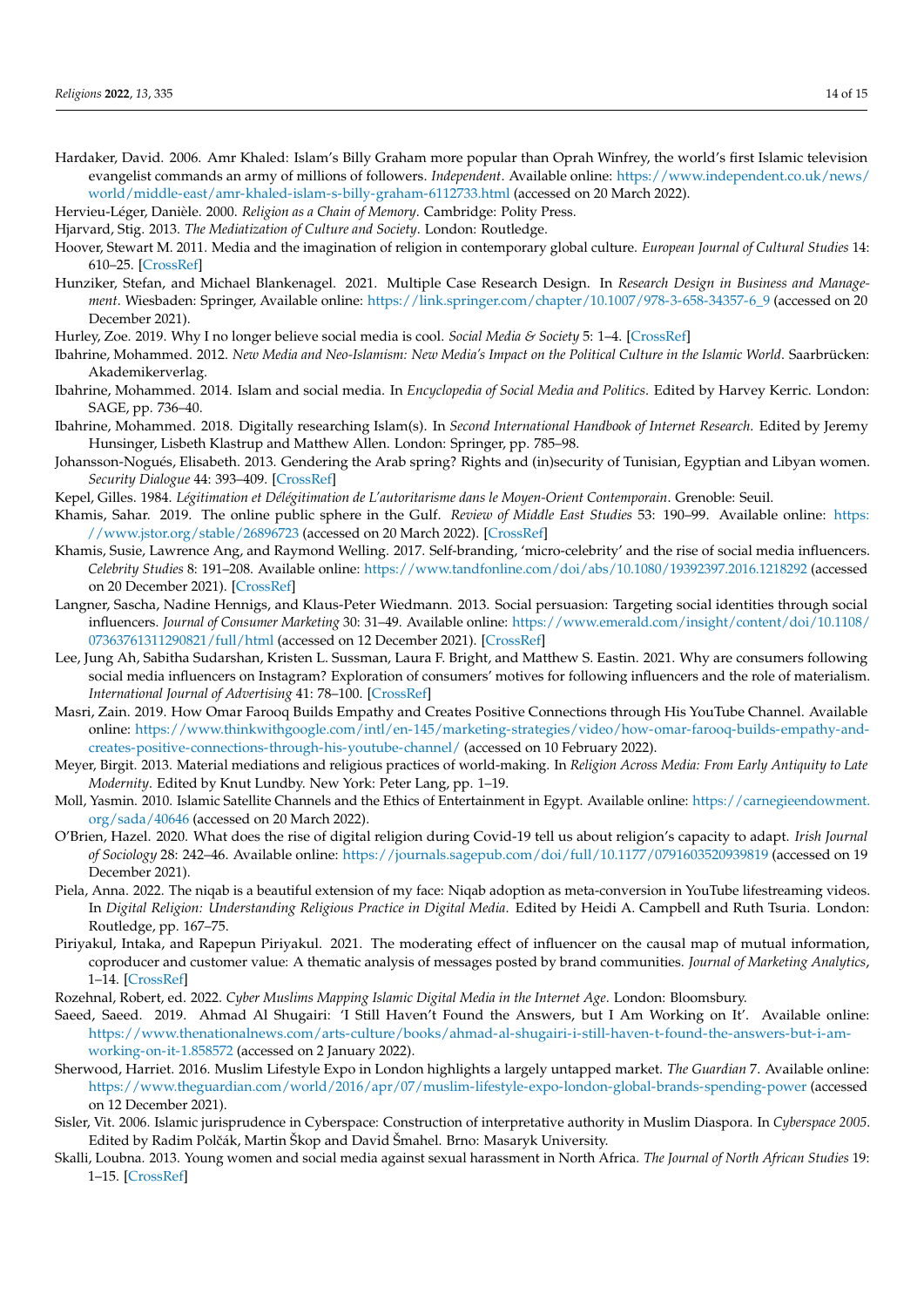- <span id="page-14-1"></span>Hardaker, David. 2006. Amr Khaled: Islam's Billy Graham more popular than Oprah Winfrey, the world's first Islamic television evangelist commands an army of millions of followers. *Independent*. Available online: [https://www.independent.co.uk/news/](https://www.independent.co.uk/news/world/middle-east/amr-khaled-islam-s-billy-graham-6112733.html) [world/middle-east/amr-khaled-islam-s-billy-graham-6112733.html](https://www.independent.co.uk/news/world/middle-east/amr-khaled-islam-s-billy-graham-6112733.html) (accessed on 20 March 2022).
- <span id="page-14-24"></span>Hervieu-Léger, Danièle. 2000. *Religion as a Chain of Memory*. Cambridge: Polity Press.
- <span id="page-14-17"></span>Hjarvard, Stig. 2013. *The Mediatization of Culture and Society*. London: Routledge.
- <span id="page-14-18"></span>Hoover, Stewart M. 2011. Media and the imagination of religion in contemporary global culture. *European Journal of Cultural Studies* 14: 610–25. [\[CrossRef\]](http://doi.org/10.1177/1367549411419980)
- <span id="page-14-20"></span>Hunziker, Stefan, and Michael Blankenagel. 2021. Multiple Case Research Design. In *Research Design in Business and Management*. Wiesbaden: Springer, Available online: [https://link.springer.com/chapter/10.1007/978-3-658-34357-6\\_9](https://link.springer.com/chapter/10.1007/978-3-658-34357-6_9) (accessed on 20 December 2021).
- <span id="page-14-12"></span><span id="page-14-4"></span>Hurley, Zoe. 2019. Why I no longer believe social media is cool. *Social Media & Society* 5: 1–4. [\[CrossRef\]](http://doi.org/10.1177/2056305119849495)
- Ibahrine, Mohammed. 2012. *New Media and Neo-Islamism: New Media's Impact on the Political Culture in the Islamic World*. Saarbrücken: Akademikerverlag.
- <span id="page-14-0"></span>Ibahrine, Mohammed. 2014. Islam and social media. In *Encyclopedia of Social Media and Politics*. Edited by Harvey Kerric. London: SAGE, pp. 736–40.
- <span id="page-14-6"></span>Ibahrine, Mohammed. 2018. Digitally researching Islam(s). In *Second International Handbook of Internet Research*. Edited by Jeremy Hunsinger, Lisbeth Klastrup and Matthew Allen. London: Springer, pp. 785–98.
- <span id="page-14-13"></span>Johansson-Nogués, Elisabeth. 2013. Gendering the Arab spring? Rights and (in)security of Tunisian, Egyptian and Libyan women. *Security Dialogue* 44: 393–409. [\[CrossRef\]](http://doi.org/10.1177/0967010613499784)
- <span id="page-14-3"></span>Kepel, Gilles. 1984. *Légitimation et Délégitimation de L'autoritarisme dans le Moyen-Orient Contemporain*. Grenoble: Seuil.
- <span id="page-14-11"></span>Khamis, Sahar. 2019. The online public sphere in the Gulf. *Review of Middle East Studies* 53: 190–99. Available online: [https:](https://www.jstor.org/stable/26896723) [//www.jstor.org/stable/26896723](https://www.jstor.org/stable/26896723) (accessed on 20 March 2022). [\[CrossRef\]](http://doi.org/10.1017/rms.2019.41)
- <span id="page-14-10"></span>Khamis, Susie, Lawrence Ang, and Raymond Welling. 2017. Self-branding, 'micro-celebrity' and the rise of social media influencers. *Celebrity Studies* 8: 191–208. Available online: <https://www.tandfonline.com/doi/abs/10.1080/19392397.2016.1218292> (accessed on 20 December 2021). [\[CrossRef\]](http://doi.org/10.1080/19392397.2016.1218292)
- <span id="page-14-9"></span>Langner, Sascha, Nadine Hennigs, and Klaus-Peter Wiedmann. 2013. Social persuasion: Targeting social identities through social influencers. *Journal of Consumer Marketing* 30: 31–49. Available online: [https://www.emerald.com/insight/content/doi/10.1108/](https://www.emerald.com/insight/content/doi/10.1108/07363761311290821/full/html) [07363761311290821/full/html](https://www.emerald.com/insight/content/doi/10.1108/07363761311290821/full/html) (accessed on 12 December 2021). [\[CrossRef\]](http://doi.org/10.1108/07363761311290821)
- <span id="page-14-16"></span>Lee, Jung Ah, Sabitha Sudarshan, Kristen L. Sussman, Laura F. Bright, and Matthew S. Eastin. 2021. Why are consumers following social media influencers on Instagram? Exploration of consumers' motives for following influencers and the role of materialism. *International Journal of Advertising* 41: 78–100. [\[CrossRef\]](http://doi.org/10.1080/02650487.2021.1964226)
- <span id="page-14-23"></span>Masri, Zain. 2019. How Omar Farooq Builds Empathy and Creates Positive Connections through His YouTube Channel. Available online: [https://www.thinkwithgoogle.com/intl/en-145/marketing-strategies/video/how-omar-farooq-builds-empathy-and](https://www.thinkwithgoogle.com/intl/en-145/marketing-strategies/video/how-omar-farooq-builds-empathy-and-creates-positive-connections-through-his-youtube-channel/)[creates-positive-connections-through-his-youtube-channel/](https://www.thinkwithgoogle.com/intl/en-145/marketing-strategies/video/how-omar-farooq-builds-empathy-and-creates-positive-connections-through-his-youtube-channel/) (accessed on 10 February 2022).
- <span id="page-14-19"></span>Meyer, Birgit. 2013. Material mediations and religious practices of world-making. In *Religion Across Media: From Early Antiquity to Late Modernity*. Edited by Knut Lundby. New York: Peter Lang, pp. 1–19.
- <span id="page-14-25"></span>Moll, Yasmin. 2010. Islamic Satellite Channels and the Ethics of Entertainment in Egypt. Available online: [https://carnegieendowment.](https://carnegieendowment.org/sada/40646) [org/sada/40646](https://carnegieendowment.org/sada/40646) (accessed on 20 March 2022).
- <span id="page-14-7"></span>O'Brien, Hazel. 2020. What does the rise of digital religion during Covid-19 tell us about religion's capacity to adapt. *Irish Journal of Sociology* 28: 242–46. Available online: <https://journals.sagepub.com/doi/full/10.1177/0791603520939819> (accessed on 19 December 2021).
- <span id="page-14-15"></span>Piela, Anna. 2022. The niqab is a beautiful extension of my face: Niqab adoption as meta-conversion in YouTube lifestreaming videos. In *Digital Religion: Understanding Religious Practice in Digital Media*. Edited by Heidi A. Campbell and Ruth Tsuria. London: Routledge, pp. 167–75.
- <span id="page-14-21"></span>Piriyakul, Intaka, and Rapepun Piriyakul. 2021. The moderating effect of influencer on the causal map of mutual information, coproducer and customer value: A thematic analysis of messages posted by brand communities. *Journal of Marketing Analytics*, 1–14. [\[CrossRef\]](http://doi.org/10.1057/s41270-021-00124-9)
- <span id="page-14-8"></span>Rozehnal, Robert, ed. 2022. *Cyber Muslims Mapping Islamic Digital Media in the Internet Age*. London: Bloomsbury.
- <span id="page-14-22"></span>Saeed, Saeed. 2019. Ahmad Al Shugairi: 'I Still Haven't Found the Answers, but I Am Working on It'. Available online: [https://www.thenationalnews.com/arts-culture/books/ahmad-al-shugairi-i-still-haven-t-found-the-answers-but-i-am](https://www.thenationalnews.com/arts-culture/books/ahmad-al-shugairi-i-still-haven-t-found-the-answers-but-i-am-working-on-it-1.858572)[working-on-it-1.858572](https://www.thenationalnews.com/arts-culture/books/ahmad-al-shugairi-i-still-haven-t-found-the-answers-but-i-am-working-on-it-1.858572) (accessed on 2 January 2022).
- <span id="page-14-2"></span>Sherwood, Harriet. 2016. Muslim Lifestyle Expo in London highlights a largely untapped market. *The Guardian* 7. Available online: <https://www.theguardian.com/world/2016/apr/07/muslim-lifestyle-expo-london-global-brands-spending-power> (accessed on 12 December 2021).
- <span id="page-14-5"></span>Sisler, Vit. 2006. Islamic jurisprudence in Cyberspace: Construction of interpretative authority in Muslim Diaspora. In *Cyberspace 2005*. Edited by Radim Polˇcák, Martin Škop and David Šmahel. Brno: Masaryk University.
- <span id="page-14-14"></span>Skalli, Loubna. 2013. Young women and social media against sexual harassment in North Africa. *The Journal of North African Studies* 19: 1–15. [\[CrossRef\]](http://doi.org/10.1080/13629387.2013.858034)